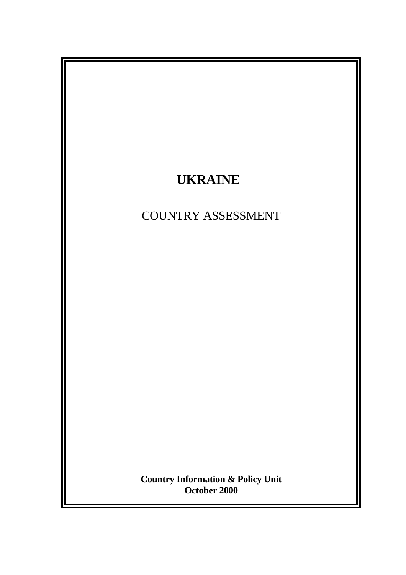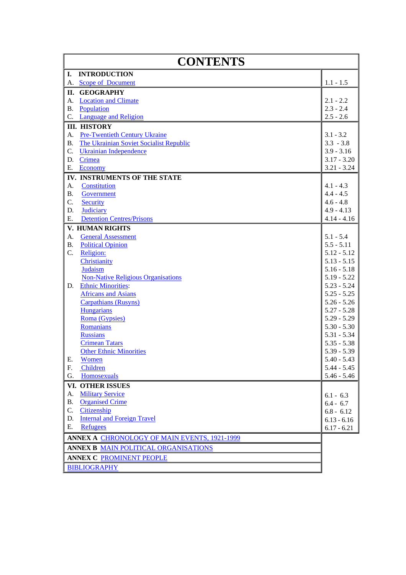| <b>CONTENTS</b>                      |                                                     |                                |
|--------------------------------------|-----------------------------------------------------|--------------------------------|
| $\mathbf{I}$ .                       | <b>INTRODUCTION</b>                                 |                                |
|                                      | A. Scope of Document                                | $1.1 - 1.5$                    |
|                                      | II. GEOGRAPHY                                       |                                |
|                                      | A. Location and Climate                             | $2.1 - 2.2$                    |
|                                      | <b>B.</b> Population                                | $2.3 - 2.4$                    |
|                                      | C. Language and Religion                            | $2.5 - 2.6$                    |
|                                      | <b>III. HISTORY</b>                                 |                                |
| A.                                   | <b>Pre-Twentieth Century Ukraine</b>                | $3.1 - 3.2$                    |
| <b>B.</b>                            | The Ukrainian Soviet Socialist Republic             | $3.3 - 3.8$                    |
| C.                                   | <b>Ukrainian Independence</b>                       | $3.9 - 3.16$                   |
| D.                                   | Crimea                                              | $3.17 - 3.20$                  |
| Ε.                                   | <b>Economy</b>                                      | $3.21 - 3.24$                  |
| IV. INSTRUMENTS OF THE STATE         |                                                     |                                |
| A.                                   | Constitution                                        | $4.1 - 4.3$                    |
| <b>B.</b>                            | Government                                          | $4.4 - 4.5$                    |
| C.                                   | <b>Security</b>                                     | $4.6 - 4.8$                    |
| D.                                   | <b>Judiciary</b>                                    | $4.9 - 4.13$                   |
| E.                                   | <b>Detention Centres/Prisons</b>                    | $4.14 - 4.16$                  |
| V. HUMAN RIGHTS                      |                                                     |                                |
| A.                                   | <b>General Assessment</b>                           | $5.1 - 5.4$                    |
| <b>B.</b>                            | <b>Political Opinion</b>                            | $5.5 - 5.11$                   |
| C.                                   | Religion:                                           | $5.12 - 5.12$                  |
|                                      | Christianity                                        | $5.13 - 5.15$                  |
|                                      | Judaism                                             | $5.16 - 5.18$                  |
|                                      | <b>Non-Native Religious Organisations</b>           | $5.19 - 5.22$                  |
| D.                                   | <b>Ethnic Minorities:</b>                           | $5.23 - 5.24$                  |
|                                      | <b>Africans and Asians</b>                          | $5.25 - 5.25$                  |
|                                      | <b>Carpathians (Rusyns)</b>                         | $5.26 - 5.26$                  |
|                                      | <b>Hungarians</b>                                   | $5.27 - 5.28$                  |
|                                      | Roma (Gypsies)                                      | $5.29 - 5.29$                  |
|                                      | Romanians                                           | $5.30 - 5.30$                  |
|                                      | <b>Russians</b>                                     | $5.31 - 5.34$                  |
|                                      | <b>Crimean Tatars</b>                               | $5.35 - 5.38$                  |
|                                      | <b>Other Ethnic Minorities</b>                      | $5.39 - 5.39$<br>$5.40 - 5.43$ |
| E.<br>F.                             | Women<br>Children                                   | $5.44 - 5.45$                  |
| G.                                   | Homosexuals                                         | $5.46 - 5.46$                  |
|                                      |                                                     |                                |
|                                      | VI. OTHER ISSUES<br><b>Military Service</b>         |                                |
| A.                                   | <b>Organised Crime</b>                              | $6.1 - 6.3$                    |
| <b>B.</b><br>C.                      | Citizenship                                         | $6.4 - 6.7$                    |
| D.                                   | <b>Internal and Foreign Travel</b>                  | $6.8 - 6.12$                   |
| Е.                                   | <b>Refugees</b>                                     | $6.13 - 6.16$<br>$6.17 - 6.21$ |
|                                      | <b>ANNEX A CHRONOLOGY OF MAIN EVENTS, 1921-1999</b> |                                |
| ANNEX B MAIN POLITICAL ORGANISATIONS |                                                     |                                |
| <b>ANNEX C PROMINENT PEOPLE</b>      |                                                     |                                |
| <b>BIBLIOGRAPHY</b>                  |                                                     |                                |
|                                      |                                                     |                                |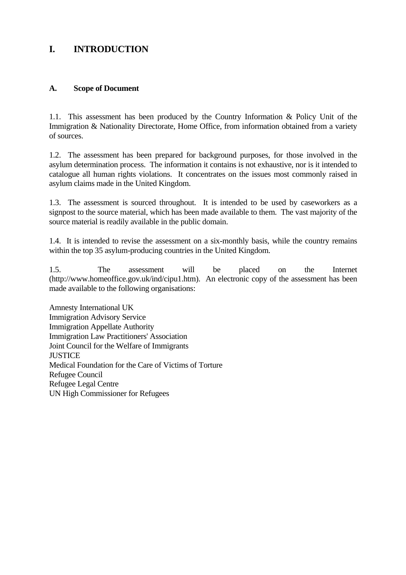# <span id="page-2-0"></span>**I. INTRODUCTION**

### **A. Scope of Document**

1.1. This assessment has been produced by the Country Information & Policy Unit of the Immigration & Nationality Directorate, Home Office, from information obtained from a variety of sources.

1.2. The assessment has been prepared for background purposes, for those involved in the asylum determination process. The information it contains is not exhaustive, nor is it intended to catalogue all human rights violations. It concentrates on the issues most commonly raised in asylum claims made in the United Kingdom.

1.3. The assessment is sourced throughout. It is intended to be used by caseworkers as a signpost to the source material, which has been made available to them. The vast majority of the source material is readily available in the public domain.

1.4. It is intended to revise the assessment on a six-monthly basis, while the country remains within the top 35 asylum-producing countries in the United Kingdom.

1.5. The assessment will be placed on the Internet (http://www.homeoffice.gov.uk/ind/cipu1.htm). An electronic copy of the assessment has been made available to the following organisations:

Amnesty International UK Immigration Advisory Service Immigration Appellate Authority Immigration Law Practitioners' Association Joint Council for the Welfare of Immigrants **JUSTICE** Medical Foundation for the Care of Victims of Torture Refugee Council Refugee Legal Centre UN High Commissioner for Refugees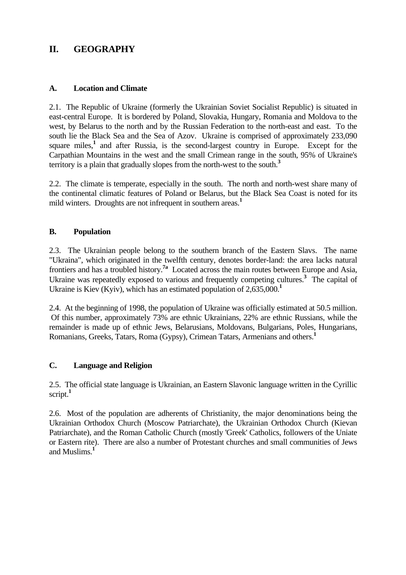# <span id="page-3-0"></span>**II. GEOGRAPHY**

### **A. Location and Climate**

2.1. The Republic of Ukraine (formerly the Ukrainian Soviet Socialist Republic) is situated in east-central Europe. It is bordered by Poland, Slovakia, Hungary, Romania and Moldova to the west, by Belarus to the north and by the Russian Federation to the north-east and east. To the south lie the Black Sea and the Sea of Azov. Ukraine is comprised of approximately 233,090 square miles,<sup>1</sup> and after Russia, is the second-largest country in Europe. Except for the Carpathian Mountains in the west and the small Crimean range in the south, 95% of Ukraine's territory is a plain that gradually slopes from the north-west to the south.**<sup>3</sup>**

2.2. The climate is temperate, especially in the south. The north and north-west share many of the continental climatic features of Poland or Belarus, but the Black Sea Coast is noted for its mild winters. Droughts are not infrequent in southern areas.<sup>1</sup>

### **B. Population**

2.3. The Ukrainian people belong to the southern branch of the Eastern Slavs. The name "Ukraina", which originated in the twelfth century, denotes border-land: the area lacks natural frontiers and has a troubled history.**7a** Located across the main routes between Europe and Asia, Ukraine was repeatedly exposed to various and frequently competing cultures.**<sup>3</sup>** The capital of Ukraine is Kiev (Kyiv), which has an estimated population of 2,635,000.**<sup>1</sup>**

2.4. At the beginning of 1998, the population of Ukraine was officially estimated at 50.5 million. Of this number, approximately 73% are ethnic Ukrainians, 22% are ethnic Russians, while the remainder is made up of ethnic Jews, Belarusians, Moldovans, Bulgarians, Poles, Hungarians, Romanians, Greeks, Tatars, Roma (Gypsy), Crimean Tatars, Armenians and others.**<sup>1</sup>**

## **C. Language and Religion**

2.5. The official state language is Ukrainian, an Eastern Slavonic language written in the Cyrillic script.**<sup>1</sup>**

2.6. Most of the population are adherents of Christianity, the major denominations being the Ukrainian Orthodox Church (Moscow Patriarchate), the Ukrainian Orthodox Church (Kievan Patriarchate), and the Roman Catholic Church (mostly 'Greek' Catholics, followers of the Uniate or Eastern rite). There are also a number of Protestant churches and small communities of Jews and Muslims.**<sup>1</sup>**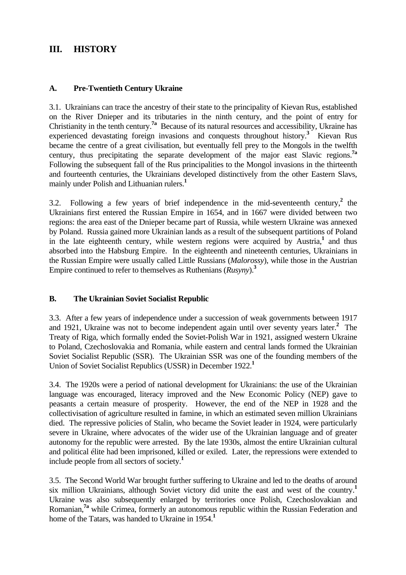# <span id="page-4-0"></span>**III. HISTORY**

### **A. Pre-Twentieth Century Ukraine**

3.1. Ukrainians can trace the ancestry of their state to the principality of Kievan Rus, established on the River Dnieper and its tributaries in the ninth century, and the point of entry for Christianity in the tenth century.**7a** Because of its natural resources and accessibility, Ukraine has experienced devastating foreign invasions and conquests throughout history.**<sup>3</sup>** Kievan Rus became the centre of a great civilisation, but eventually fell prey to the Mongols in the twelfth century, thus precipitating the separate development of the major east Slavic regions.**7a** Following the subsequent fall of the Rus principalities to the Mongol invasions in the thirteenth and fourteenth centuries, the Ukrainians developed distinctively from the other Eastern Slavs, mainly under Polish and Lithuanian rulers.**<sup>1</sup>**

3.2. Following a few years of brief independence in the mid-seventeenth century, $\lambda$  the Ukrainians first entered the Russian Empire in 1654, and in 1667 were divided between two regions: the area east of the Dnieper became part of Russia, while western Ukraine was annexed by Poland. Russia gained more Ukrainian lands as a result of the subsequent partitions of Poland in the late eighteenth century, while western regions were acquired by Austria,**<sup>1</sup>** and thus absorbed into the Habsburg Empire. In the eighteenth and nineteenth centuries, Ukrainians in the Russian Empire were usually called Little Russians (*Malorossy*), while those in the Austrian Empire continued to refer to themselves as Ruthenians (*Rusyny*).**<sup>3</sup>**

## **B. The Ukrainian Soviet Socialist Republic**

3.3. After a few years of independence under a succession of weak governments between 1917 and 1921, Ukraine was not to become independent again until over seventy years later.**<sup>2</sup>** The Treaty of Riga, which formally ended the Soviet-Polish War in 1921, assigned western Ukraine to Poland, Czechoslovakia and Romania, while eastern and central lands formed the Ukrainian Soviet Socialist Republic (SSR). The Ukrainian SSR was one of the founding members of the Union of Soviet Socialist Republics (USSR) in December 1922.**<sup>1</sup>**

3.4. The 1920s were a period of national development for Ukrainians: the use of the Ukrainian language was encouraged, literacy improved and the New Economic Policy (NEP) gave to peasants a certain measure of prosperity. However, the end of the NEP in 1928 and the collectivisation of agriculture resulted in famine, in which an estimated seven million Ukrainians died. The repressive policies of Stalin, who became the Soviet leader in 1924, were particularly severe in Ukraine, where advocates of the wider use of the Ukrainian language and of greater autonomy for the republic were arrested. By the late 1930s, almost the entire Ukrainian cultural and political élite had been imprisoned, killed or exiled. Later, the repressions were extended to include people from all sectors of society.**<sup>1</sup>**

3.5. The Second World War brought further suffering to Ukraine and led to the deaths of around six million Ukrainians, although Soviet victory did unite the east and west of the country.**<sup>1</sup>** Ukraine was also subsequently enlarged by territories once Polish, Czechoslovakian and Romanian,**7a** while Crimea, formerly an autonomous republic within the Russian Federation and home of the Tatars, was handed to Ukraine in 1954.**<sup>1</sup>**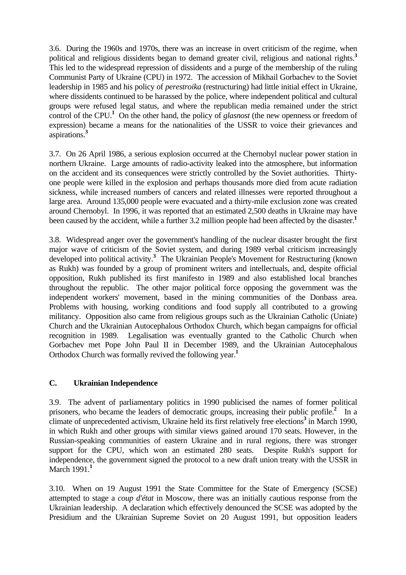<span id="page-5-0"></span>3.6. During the 1960s and 1970s, there was an increase in overt criticism of the regime, when political and religious dissidents began to demand greater civil, religious and national rights.**<sup>3</sup>** This led to the widespread repression of dissidents and a purge of the membership of the ruling Communist Party of Ukraine (CPU) in 1972. The accession of Mikhail Gorbachev to the Soviet leadership in 1985 and his policy of *perestroika* (restructuring) had little initial effect in Ukraine, where dissidents continued to be harassed by the police, where independent political and cultural groups were refused legal status, and where the republican media remained under the strict control of the CPU.<sup>1</sup> On the other hand, the policy of *glasnost* (the new openness or freedom of expression) became a means for the nationalities of the USSR to voice their grievances and aspirations.**<sup>3</sup>**

3.7. On 26 April 1986, a serious explosion occurred at the Chernobyl nuclear power station in northern Ukraine. Large amounts of radio-activity leaked into the atmosphere, but information on the accident and its consequences were strictly controlled by the Soviet authorities. Thirtyone people were killed in the explosion and perhaps thousands more died from acute radiation sickness, while increased numbers of cancers and related illnesses were reported throughout a large area. Around 135,000 people were evacuated and a thirty-mile exclusion zone was created around Chernobyl. In 1996, it was reported that an estimated 2,500 deaths in Ukraine may have been caused by the accident, while a further 3.2 million people had been affected by the disaster.**<sup>1</sup>**

3.8. Widespread anger over the government's handling of the nuclear disaster brought the first major wave of criticism of the Soviet system, and during 1989 verbal criticism increasingly developed into political activity.**<sup>3</sup>** The Ukrainian People's Movement for Restructuring (known as Rukh) was founded by a group of prominent writers and intellectuals, and, despite official opposition, Rukh published its first manifesto in 1989 and also established local branches throughout the republic. The other major political force opposing the government was the independent workers' movement, based in the mining communities of the Donbass area. Problems with housing, working conditions and food supply all contributed to a growing militancy. Opposition also came from religious groups such as the Ukrainian Catholic (Uniate) Church and the Ukrainian Autocephalous Orthodox Church, which began campaigns for official recognition in 1989. Legalisation was eventually granted to the Catholic Church when Gorbachev met Pope John Paul II in December 1989, and the Ukrainian Autocephalous Orthodox Church was formally revived the following year.**<sup>1</sup>**

## **C. Ukrainian Independence**

3.9. The advent of parliamentary politics in 1990 publicised the names of former political prisoners, who became the leaders of democratic groups, increasing their public profile.<sup>2</sup> In a climate of unprecedented activism, Ukraine held its first relatively free elections**<sup>3</sup>** in March 1990, in which Rukh and other groups with similar views gained around 170 seats. However, in the Russian-speaking communities of eastern Ukraine and in rural regions, there was stronger support for the CPU, which won an estimated 280 seats. Despite Rukh's support for independence, the government signed the protocol to a new draft union treaty with the USSR in March 1991.**<sup>1</sup>**

3.10. When on 19 August 1991 the State Committee for the State of Emergency (SCSE) attempted to stage a *coup d'état* in Moscow, there was an initially cautious response from the Ukrainian leadership. A declaration which effectively denounced the SCSE was adopted by the Presidium and the Ukrainian Supreme Soviet on 20 August 1991, but opposition leaders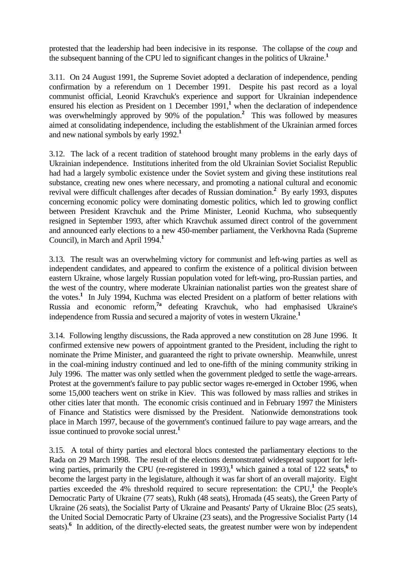protested that the leadership had been indecisive in its response. The collapse of the *coup* and the subsequent banning of the CPU led to significant changes in the politics of Ukraine.**<sup>1</sup>**

3.11. On 24 August 1991, the Supreme Soviet adopted a declaration of independence, pending confirmation by a referendum on 1 December 1991. Despite his past record as a loyal communist official, Leonid Kravchuk's experience and support for Ukrainian independence ensured his election as President on 1 December 1991,<sup>1</sup> when the declaration of independence was overwhelmingly approved by 90% of the population.**<sup>2</sup>** This was followed by measures aimed at consolidating independence, including the establishment of the Ukrainian armed forces and new national symbols by early 1992.**<sup>1</sup>**

3.12. The lack of a recent tradition of statehood brought many problems in the early days of Ukrainian independence. Institutions inherited from the old Ukrainian Soviet Socialist Republic had had a largely symbolic existence under the Soviet system and giving these institutions real substance, creating new ones where necessary, and promoting a national cultural and economic revival were difficult challenges after decades of Russian domination.**<sup>2</sup>** By early 1993, disputes concerning economic policy were dominating domestic politics, which led to growing conflict between President Kravchuk and the Prime Minister, Leonid Kuchma, who subsequently resigned in September 1993, after which Kravchuk assumed direct control of the government and announced early elections to a new 450-member parliament, the Verkhovna Rada (Supreme Council), in March and April 1994.**<sup>1</sup>**

3.13. The result was an overwhelming victory for communist and left-wing parties as well as independent candidates, and appeared to confirm the existence of a political division between eastern Ukraine, whose largely Russian population voted for left-wing, pro-Russian parties, and the west of the country, where moderate Ukrainian nationalist parties won the greatest share of the votes.**<sup>1</sup>** In July 1994, Kuchma was elected President on a platform of better relations with Russia and economic reform,**7a** defeating Kravchuk, who had emphasised Ukraine's independence from Russia and secured a majority of votes in western Ukraine.**<sup>1</sup>**

3.14. Following lengthy discussions, the Rada approved a new constitution on 28 June 1996. It confirmed extensive new powers of appointment granted to the President, including the right to nominate the Prime Minister, and guaranteed the right to private ownership. Meanwhile, unrest in the coal-mining industry continued and led to one-fifth of the mining community striking in July 1996. The matter was only settled when the government pledged to settle the wage-arrears. Protest at the government's failure to pay public sector wages re-emerged in October 1996, when some 15,000 teachers went on strike in Kiev. This was followed by mass rallies and strikes in other cities later that month. The economic crisis continued and in February 1997 the Ministers of Finance and Statistics were dismissed by the President. Nationwide demonstrations took place in March 1997, because of the government's continued failure to pay wage arrears, and the issue continued to provoke social unrest.**<sup>1</sup>**

3.15. A total of thirty parties and electoral blocs contested the parliamentary elections to the Rada on 29 March 1998. The result of the elections demonstrated widespread support for leftwing parties, primarily the CPU (re-registered in 1993),<sup>1</sup> which gained a total of  $122$  seats,<sup>6</sup> to become the largest party in the legislature, although it was far short of an overall majority. Eight parties exceeded the 4% threshold required to secure representation: the CPU,<sup>1</sup> the People's Democratic Party of Ukraine (77 seats), Rukh (48 seats), Hromada (45 seats), the Green Party of Ukraine (26 seats), the Socialist Party of Ukraine and Peasants' Party of Ukraine Bloc (25 seats), the United Social Democratic Party of Ukraine (23 seats), and the Progressive Socialist Party (14 seats).<sup>6</sup> In addition, of the directly-elected seats, the greatest number were won by independent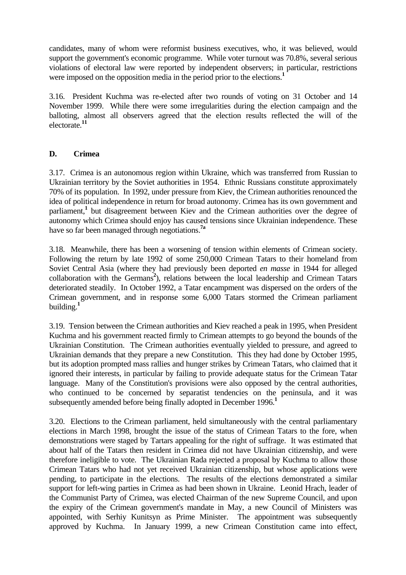<span id="page-7-0"></span>candidates, many of whom were reformist business executives, who, it was believed, would support the government's economic programme. While voter turnout was 70.8%, several serious violations of electoral law were reported by independent observers; in particular, restrictions were imposed on the opposition media in the period prior to the elections.**<sup>1</sup>**

3.16. President Kuchma was re-elected after two rounds of voting on 31 October and 14 November 1999. While there were some irregularities during the election campaign and the balloting, almost all observers agreed that the election results reflected the will of the electorate.**<sup>11</sup>**

## **D. Crimea**

3.17. Crimea is an autonomous region within Ukraine, which was transferred from Russian to Ukrainian territory by the Soviet authorities in 1954. Ethnic Russians constitute approximately 70% of its population. In 1992, under pressure from Kiev, the Crimean authorities renounced the idea of political independence in return for broad autonomy. Crimea has its own government and parliament,<sup>1</sup> but disagreement between Kiev and the Crimean authorities over the degree of autonomy which Crimea should enjoy has caused tensions since Ukrainian independence. These have so far been managed through negotiations.**7a**

3.18. Meanwhile, there has been a worsening of tension within elements of Crimean society. Following the return by late 1992 of some 250,000 Crimean Tatars to their homeland from Soviet Central Asia (where they had previously been deported *en masse* in 1944 for alleged collaboration with the Germans<sup>2</sup>), relations between the local leadership and Crimean Tatars deteriorated steadily. In October 1992, a Tatar encampment was dispersed on the orders of the Crimean government, and in response some 6,000 Tatars stormed the Crimean parliament building.**<sup>1</sup>**

3.19. Tension between the Crimean authorities and Kiev reached a peak in 1995, when President Kuchma and his government reacted firmly to Crimean attempts to go beyond the bounds of the Ukrainian Constitution. The Crimean authorities eventually yielded to pressure, and agreed to Ukrainian demands that they prepare a new Constitution. This they had done by October 1995, but its adoption prompted mass rallies and hunger strikes by Crimean Tatars, who claimed that it ignored their interests, in particular by failing to provide adequate status for the Crimean Tatar language. Many of the Constitution's provisions were also opposed by the central authorities, who continued to be concerned by separatist tendencies on the peninsula, and it was subsequently amended before being finally adopted in December 1996.**<sup>1</sup>**

3.20. Elections to the Crimean parliament, held simultaneously with the central parliamentary elections in March 1998, brought the issue of the status of Crimean Tatars to the fore, when demonstrations were staged by Tartars appealing for the right of suffrage. It was estimated that about half of the Tatars then resident in Crimea did not have Ukrainian citizenship, and were therefore ineligible to vote. The Ukrainian Rada rejected a proposal by Kuchma to allow those Crimean Tatars who had not yet received Ukrainian citizenship, but whose applications were pending, to participate in the elections. The results of the elections demonstrated a similar support for left-wing parties in Crimea as had been shown in Ukraine. Leonid Hrach, leader of the Communist Party of Crimea, was elected Chairman of the new Supreme Council, and upon the expiry of the Crimean government's mandate in May, a new Council of Ministers was appointed, with Serhiy Kunitsyn as Prime Minister. The appointment was subsequently approved by Kuchma. In January 1999, a new Crimean Constitution came into effect,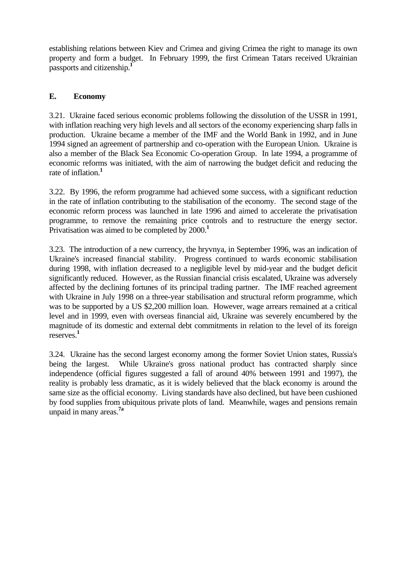<span id="page-8-0"></span>establishing relations between Kiev and Crimea and giving Crimea the right to manage its own property and form a budget. In February 1999, the first Crimean Tatars received Ukrainian passports and citizenship.**<sup>1</sup>**

# **E. Economy**

3.21. Ukraine faced serious economic problems following the dissolution of the USSR in 1991, with inflation reaching very high levels and all sectors of the economy experiencing sharp falls in production. Ukraine became a member of the IMF and the World Bank in 1992, and in June 1994 signed an agreement of partnership and co-operation with the European Union. Ukraine is also a member of the Black Sea Economic Co-operation Group. In late 1994, a programme of economic reforms was initiated, with the aim of narrowing the budget deficit and reducing the rate of inflation.**<sup>1</sup>**

3.22. By 1996, the reform programme had achieved some success, with a significant reduction in the rate of inflation contributing to the stabilisation of the economy. The second stage of the economic reform process was launched in late 1996 and aimed to accelerate the privatisation programme, to remove the remaining price controls and to restructure the energy sector. Privatisation was aimed to be completed by 2000.**<sup>1</sup>**

3.23. The introduction of a new currency, the hryvnya, in September 1996, was an indication of Ukraine's increased financial stability. Progress continued to wards economic stabilisation during 1998, with inflation decreased to a negligible level by mid-year and the budget deficit significantly reduced. However, as the Russian financial crisis escalated, Ukraine was adversely affected by the declining fortunes of its principal trading partner. The IMF reached agreement with Ukraine in July 1998 on a three-year stabilisation and structural reform programme, which was to be supported by a US \$2,200 million loan. However, wage arrears remained at a critical level and in 1999, even with overseas financial aid, Ukraine was severely encumbered by the magnitude of its domestic and external debt commitments in relation to the level of its foreign reserves. **1**

3.24. Ukraine has the second largest economy among the former Soviet Union states, Russia's being the largest. While Ukraine's gross national product has contracted sharply since independence (official figures suggested a fall of around 40% between 1991 and 1997), the reality is probably less dramatic, as it is widely believed that the black economy is around the same size as the official economy. Living standards have also declined, but have been cushioned by food supplies from ubiquitous private plots of land. Meanwhile, wages and pensions remain unpaid in many areas.**7a**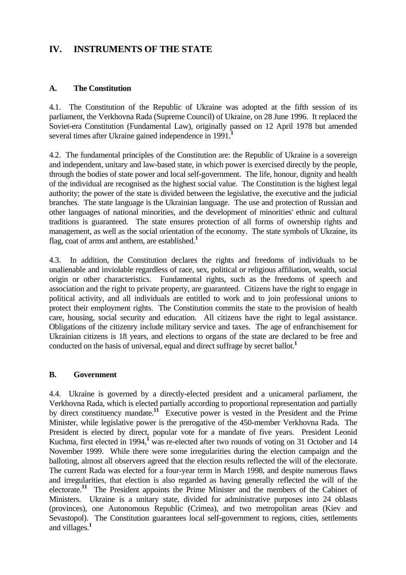# <span id="page-9-0"></span>**IV. INSTRUMENTS OF THE STATE**

## **A. The Constitution**

4.1. The Constitution of the Republic of Ukraine was adopted at the fifth session of its parliament, the Verkhovna Rada (Supreme Council) of Ukraine, on 28 June 1996. It replaced the Soviet-era Constitution (Fundamental Law), originally passed on 12 April 1978 but amended several times after Ukraine gained independence in 1991.

4.2. The fundamental principles of the Constitution are: the Republic of Ukraine is a sovereign and independent, unitary and law-based state, in which power is exercised directly by the people, through the bodies of state power and local self-government. The life, honour, dignity and health of the individual are recognised as the highest social value. The Constitution is the highest legal authority; the power of the state is divided between the legislative, the executive and the judicial branches. The state language is the Ukrainian language. The use and protection of Russian and other languages of national minorities, and the development of minorities' ethnic and cultural traditions is guaranteed. The state ensures protection of all forms of ownership rights and management, as well as the social orientation of the economy. The state symbols of Ukraine, its flag, coat of arms and anthem, are established.**<sup>1</sup>**

4.3. In addition, the Constitution declares the rights and freedoms of individuals to be unalienable and inviolable regardless of race, sex, political or religious affiliation, wealth, social origin or other characteristics. Fundamental rights, such as the freedoms of speech and association and the right to private property, are guaranteed. Citizens have the right to engage in political activity, and all individuals are entitled to work and to join professional unions to protect their employment rights. The Constitution commits the state to the provision of health care, housing, social security and education. All citizens have the right to legal assistance. Obligations of the citizenry include military service and taxes. The age of enfranchisement for Ukrainian citizens is 18 years, and elections to organs of the state are declared to be free and conducted on the basis of universal, equal and direct suffrage by secret ballot.**<sup>1</sup>**

#### **B. Government**

4.4. Ukraine is governed by a directly-elected president and a unicameral parliament, the Verkhovna Rada, which is elected partially according to proportional representation and partially by direct constituency mandate.**<sup>11</sup>** Executive power is vested in the President and the Prime Minister, while legislative power is the prerogative of the 450-member Verkhovna Rada. The President is elected by direct, popular vote for a mandate of five years. President Leonid Kuchma, first elected in 1994,<sup>1</sup> was re-elected after two rounds of voting on 31 October and 14 November 1999. While there were some irregularities during the election campaign and the balloting, almost all observers agreed that the election results reflected the will of the electorate. The current Rada was elected for a four-year term in March 1998, and despite numerous flaws and irregularities, that election is also regarded as having generally reflected the will of the electorate.**<sup>11</sup>** The President appoints the Prime Minister and the members of the Cabinet of Ministers. Ukraine is a unitary state, divided for administrative purposes into 24 oblasts (provinces), one Autonomous Republic (Crimea), and two metropolitan areas (Kiev and Sevastopol). The Constitution guarantees local self-government to regions, cities, settlements and villages.**<sup>1</sup>**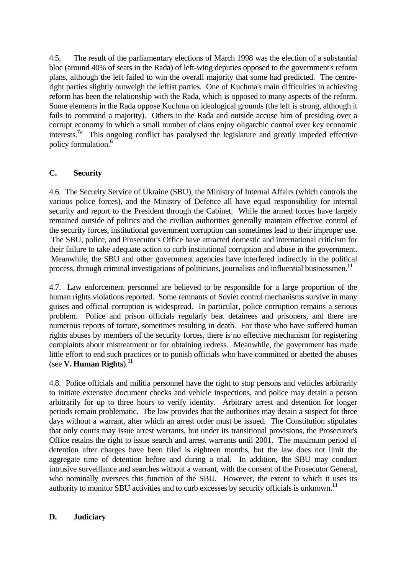<span id="page-10-0"></span>4.5. The result of the parliamentary elections of March 1998 was the election of a substantial bloc (around 40% of seats in the Rada) of left-wing deputies opposed to the government's reform plans, although the left failed to win the overall majority that some had predicted. The centreright parties slightly outweigh the leftist parties. One of Kuchma's main difficulties in achieving reform has been the relationship with the Rada, which is opposed to many aspects of the reform. Some elements in the Rada oppose Kuchma on ideological grounds (the left is strong, although it fails to command a majority). Others in the Rada and outside accuse him of presiding over a corrupt economy in which a small number of clans enjoy oligarchic control over key economic interests.**7a** This ongoing conflict has paralysed the legislature and greatly impeded effective policy formulation.**<sup>6</sup>**

## **C. Security**

4.6. The Security Service of Ukraine (SBU), the Ministry of Internal Affairs (which controls the various police forces), and the Ministry of Defence all have equal responsibility for internal security and report to the President through the Cabinet. While the armed forces have largely remained outside of politics and the civilian authorities generally maintain effective control of the security forces, institutional government corruption can sometimes lead to their improper use. The SBU, police, and Prosecutor's Office have attracted domestic and international criticism for their failure to take adequate action to curb institutional corruption and abuse in the government. Meanwhile, the SBU and other government agencies have interfered indirectly in the political process, through criminal investigations of politicians, journalists and influential businessmen.**<sup>11</sup>**

4.7. Law enforcement personnel are believed to be responsible for a large proportion of the human rights violations reported. Some remnants of Soviet control mechanisms survive in many guises and official corruption is widespread. In particular, police corruption remains a serious problem. Police and prison officials regularly beat detainees and prisoners, and there are numerous reports of torture, sometimes resulting in death. For those who have suffered human rights abuses by members of the security forces, there is no effective mechanism for registering complaints about mistreatment or for obtaining redress. Meanwhile, the government has made little effort to end such practices or to punish officials who have committed or abetted the abuses (see **V. Human Rights**).**<sup>11</sup>**

4.8. Police officials and militia personnel have the right to stop persons and vehicles arbitrarily to initiate extensive document checks and vehicle inspections, and police may detain a person arbitrarily for up to three hours to verify identity. Arbitrary arrest and detention for longer periods remain problematic. The law provides that the authorities may detain a suspect for three days without a warrant, after which an arrest order must be issued. The Constitution stipulates that only courts may issue arrest warrants, but under its transitional provisions, the Prosecutor's Office retains the right to issue search and arrest warrants until 2001. The maximum period of detention after charges have been filed is eighteen months, but the law does not limit the aggregate time of detention before and during a trial. In addition, the SBU may conduct intrusive surveillance and searches without a warrant, with the consent of the Prosecutor General, who nominally oversees this function of the SBU. However, the extent to which it uses its authority to monitor SBU activities and to curb excesses by security officials is unknown.**<sup>11</sup>**

#### **D. Judiciary**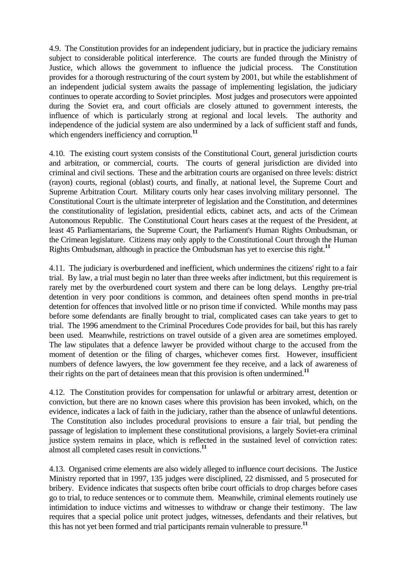4.9. The Constitution provides for an independent judiciary, but in practice the judiciary remains subject to considerable political interference. The courts are funded through the Ministry of Justice, which allows the government to influence the judicial process. The Constitution provides for a thorough restructuring of the court system by 2001, but while the establishment of an independent judicial system awaits the passage of implementing legislation, the judiciary continues to operate according to Soviet principles. Most judges and prosecutors were appointed during the Soviet era, and court officials are closely attuned to government interests, the influence of which is particularly strong at regional and local levels. The authority and independence of the judicial system are also undermined by a lack of sufficient staff and funds, which engenders inefficiency and corruption.**<sup>11</sup>**

4.10. The existing court system consists of the Constitutional Court, general jurisdiction courts and arbitration, or commercial, courts. The courts of general jurisdiction are divided into criminal and civil sections. These and the arbitration courts are organised on three levels: district (rayon) courts, regional (oblast) courts, and finally, at national level, the Supreme Court and Supreme Arbitration Court. Military courts only hear cases involving military personnel. The Constitutional Court is the ultimate interpreter of legislation and the Constitution, and determines the constitutionality of legislation, presidential edicts, cabinet acts, and acts of the Crimean Autonomous Republic. The Constitutional Court hears cases at the request of the President, at least 45 Parliamentarians, the Supreme Court, the Parliament's Human Rights Ombudsman, or the Crimean legislature. Citizens may only apply to the Constitutional Court through the Human Rights Ombudsman, although in practice the Ombudsman has yet to exercise this right.**<sup>11</sup>**

4.11. The judiciary is overburdened and inefficient, which undermines the citizens' right to a fair trial. By law, a trial must begin no later than three weeks after indictment, but this requirement is rarely met by the overburdened court system and there can be long delays. Lengthy pre-trial detention in very poor conditions is common, and detainees often spend months in pre-trial detention for offences that involved little or no prison time if convicted. While months may pass before some defendants are finally brought to trial, complicated cases can take years to get to trial. The 1996 amendment to the Criminal Procedures Code provides for bail, but this has rarely been used. Meanwhile, restrictions on travel outside of a given area are sometimes employed. The law stipulates that a defence lawyer be provided without charge to the accused from the moment of detention or the filing of charges, whichever comes first. However, insufficient numbers of defence lawyers, the low government fee they receive, and a lack of awareness of their rights on the part of detainees mean that this provision is often undermined.**<sup>11</sup>**

4.12. The Constitution provides for compensation for unlawful or arbitrary arrest, detention or conviction, but there are no known cases where this provision has been invoked, which, on the evidence, indicates a lack of faith in the judiciary, rather than the absence of unlawful detentions. The Constitution also includes procedural provisions to ensure a fair trial, but pending the passage of legislation to implement these constitutional provisions, a largely Soviet-era criminal justice system remains in place, which is reflected in the sustained level of conviction rates: almost all completed cases result in convictions.**<sup>11</sup>**

4.13. Organised crime elements are also widely alleged to influence court decisions. The Justice Ministry reported that in 1997, 135 judges were disciplined, 22 dismissed, and 5 prosecuted for bribery. Evidence indicates that suspects often bribe court officials to drop charges before cases go to trial, to reduce sentences or to commute them. Meanwhile, criminal elements routinely use intimidation to induce victims and witnesses to withdraw or change their testimony. The law requires that a special police unit protect judges, witnesses, defendants and their relatives, but this has not yet been formed and trial participants remain vulnerable to pressure.**<sup>11</sup>**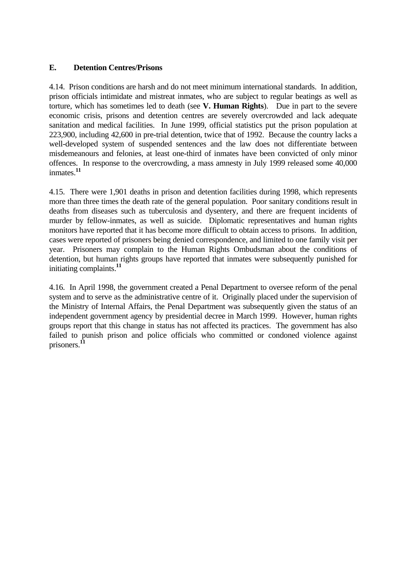### <span id="page-12-0"></span>**E. Detention Centres/Prisons**

4.14. Prison conditions are harsh and do not meet minimum international standards. In addition, prison officials intimidate and mistreat inmates, who are subject to regular beatings as well as torture, which has sometimes led to death (see **V. Human Rights**). Due in part to the severe economic crisis, prisons and detention centres are severely overcrowded and lack adequate sanitation and medical facilities. In June 1999, official statistics put the prison population at 223,900, including 42,600 in pre-trial detention, twice that of 1992. Because the country lacks a well-developed system of suspended sentences and the law does not differentiate between misdemeanours and felonies, at least one-third of inmates have been convicted of only minor offences. In response to the overcrowding, a mass amnesty in July 1999 released some 40,000 inmates.**<sup>11</sup>**

4.15. There were 1,901 deaths in prison and detention facilities during 1998, which represents more than three times the death rate of the general population. Poor sanitary conditions result in deaths from diseases such as tuberculosis and dysentery, and there are frequent incidents of murder by fellow-inmates, as well as suicide. Diplomatic representatives and human rights monitors have reported that it has become more difficult to obtain access to prisons. In addition, cases were reported of prisoners being denied correspondence, and limited to one family visit per year. Prisoners may complain to the Human Rights Ombudsman about the conditions of detention, but human rights groups have reported that inmates were subsequently punished for initiating complaints.**<sup>11</sup>**

4.16. In April 1998, the government created a Penal Department to oversee reform of the penal system and to serve as the administrative centre of it. Originally placed under the supervision of the Ministry of Internal Affairs, the Penal Department was subsequently given the status of an independent government agency by presidential decree in March 1999. However, human rights groups report that this change in status has not affected its practices. The government has also failed to punish prison and police officials who committed or condoned violence against prisoners.<sup>1</sup>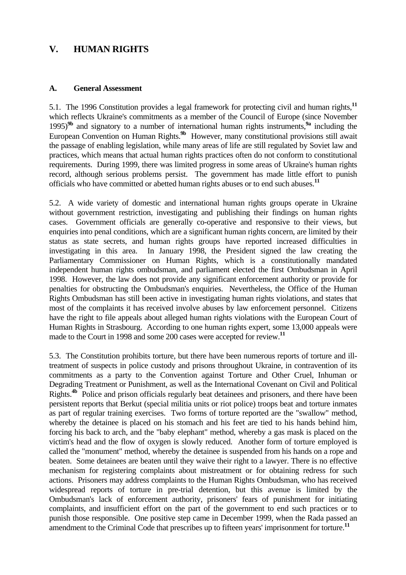# <span id="page-13-0"></span>**V. HUMAN RIGHTS**

#### **A. General Assessment**

5.1. The 1996 Constitution provides a legal framework for protecting civil and human rights,**<sup>11</sup>** which reflects Ukraine's commitments as a member of the Council of Europe (since November 1995)**9b** and signatory to a number of international human rights instruments,**9a** including the European Convention on Human Rights.**9b** However, many constitutional provisions still await the passage of enabling legislation, while many areas of life are still regulated by Soviet law and practices, which means that actual human rights practices often do not conform to constitutional requirements. During 1999, there was limited progress in some areas of Ukraine's human rights record, although serious problems persist. The government has made little effort to punish officials who have committed or abetted human rights abuses or to end such abuses.**<sup>11</sup>**

5.2. A wide variety of domestic and international human rights groups operate in Ukraine without government restriction, investigating and publishing their findings on human rights cases. Government officials are generally co-operative and responsive to their views, but enquiries into penal conditions, which are a significant human rights concern, are limited by their status as state secrets, and human rights groups have reported increased difficulties in investigating in this area. In January 1998, the President signed the law creating the Parliamentary Commissioner on Human Rights, which is a constitutionally mandated independent human rights ombudsman, and parliament elected the first Ombudsman in April 1998. However, the law does not provide any significant enforcement authority or provide for penalties for obstructing the Ombudsman's enquiries. Nevertheless, the Office of the Human Rights Ombudsman has still been active in investigating human rights violations, and states that most of the complaints it has received involve abuses by law enforcement personnel. Citizens have the right to file appeals about alleged human rights violations with the European Court of Human Rights in Strasbourg. According to one human rights expert, some 13,000 appeals were made to the Court in 1998 and some 200 cases were accepted for review.**<sup>11</sup>**

5.3. The Constitution prohibits torture, but there have been numerous reports of torture and illtreatment of suspects in police custody and prisons throughout Ukraine, in contravention of its commitments as a party to the Convention against Torture and Other Cruel, Inhuman or Degrading Treatment or Punishment, as well as the International Covenant on Civil and Political Rights.**4b** Police and prison officials regularly beat detainees and prisoners, and there have been persistent reports that Berkut (special militia units or riot police) troops beat and torture inmates as part of regular training exercises. Two forms of torture reported are the "swallow" method, whereby the detainee is placed on his stomach and his feet are tied to his hands behind him, forcing his back to arch, and the "baby elephant" method, whereby a gas mask is placed on the victim's head and the flow of oxygen is slowly reduced. Another form of torture employed is called the "monument" method, whereby the detainee is suspended from his hands on a rope and beaten. Some detainees are beaten until they waive their right to a lawyer. There is no effective mechanism for registering complaints about mistreatment or for obtaining redress for such actions. Prisoners may address complaints to the Human Rights Ombudsman, who has received widespread reports of torture in pre-trial detention, but this avenue is limited by the Ombudsman's lack of enforcement authority, prisoners' fears of punishment for initiating complaints, and insufficient effort on the part of the government to end such practices or to punish those responsible. One positive step came in December 1999, when the Rada passed an amendment to the Criminal Code that prescribes up to fifteen years' imprisonment for torture.**<sup>11</sup>**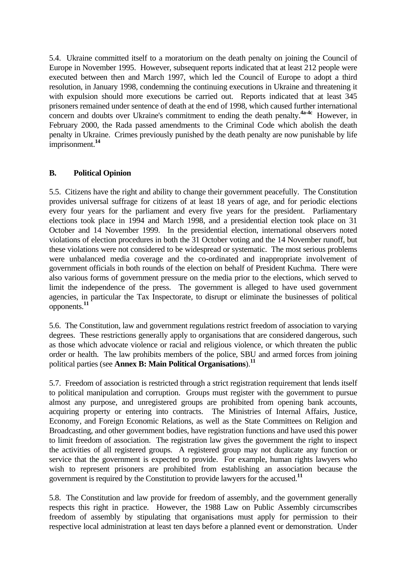<span id="page-14-0"></span>5.4. Ukraine committed itself to a moratorium on the death penalty on joining the Council of Europe in November 1995. However, subsequent reports indicated that at least 212 people were executed between then and March 1997, which led the Council of Europe to adopt a third resolution, in January 1998, condemning the continuing executions in Ukraine and threatening it with expulsion should more executions be carried out. Reports indicated that at least 345 prisoners remained under sentence of death at the end of 1998, which caused further international concern and doubts over Ukraine's commitment to ending the death penalty.**4a-4c** However, in February 2000, the Rada passed amendments to the Criminal Code which abolish the death penalty in Ukraine. Crimes previously punished by the death penalty are now punishable by life imprisonment.**<sup>14</sup>**

## **B. Political Opinion**

5.5. Citizens have the right and ability to change their government peacefully. The Constitution provides universal suffrage for citizens of at least 18 years of age, and for periodic elections every four years for the parliament and every five years for the president. Parliamentary elections took place in 1994 and March 1998, and a presidential election took place on 31 October and 14 November 1999. In the presidential election, international observers noted violations of election procedures in both the 31 October voting and the 14 November runoff, but these violations were not considered to be widespread or systematic. The most serious problems were unbalanced media coverage and the co-ordinated and inappropriate involvement of government officials in both rounds of the election on behalf of President Kuchma. There were also various forms of government pressure on the media prior to the elections, which served to limit the independence of the press. The government is alleged to have used government agencies, in particular the Tax Inspectorate, to disrupt or eliminate the businesses of political opponents.**<sup>11</sup>**

5.6. The Constitution, law and government regulations restrict freedom of association to varying degrees. These restrictions generally apply to organisations that are considered dangerous, such as those which advocate violence or racial and religious violence, or which threaten the public order or health. The law prohibits members of the police, SBU and armed forces from joining political parties (see **Annex B: Main Political Organisations**).**<sup>11</sup>**

5.7. Freedom of association is restricted through a strict registration requirement that lends itself to political manipulation and corruption. Groups must register with the government to pursue almost any purpose, and unregistered groups are prohibited from opening bank accounts, acquiring property or entering into contracts. The Ministries of Internal Affairs, Justice, Economy, and Foreign Economic Relations, as well as the State Committees on Religion and Broadcasting, and other government bodies, have registration functions and have used this power to limit freedom of association. The registration law gives the government the right to inspect the activities of all registered groups. A registered group may not duplicate any function or service that the government is expected to provide. For example, human rights lawyers who wish to represent prisoners are prohibited from establishing an association because the government is required by the Constitution to provide lawyers for the accused.**<sup>11</sup>**

5.8. The Constitution and law provide for freedom of assembly, and the government generally respects this right in practice. However, the 1988 Law on Public Assembly circumscribes freedom of assembly by stipulating that organisations must apply for permission to their respective local administration at least ten days before a planned event or demonstration. Under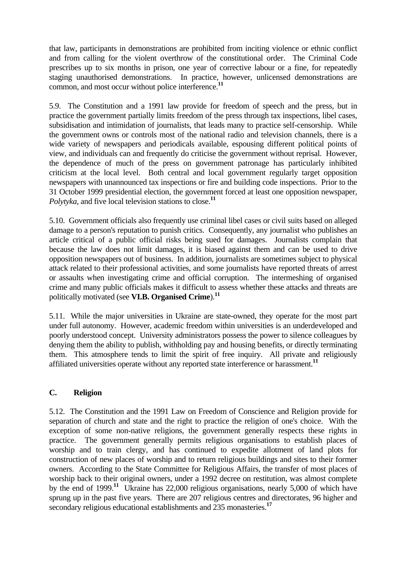<span id="page-15-0"></span>that law, participants in demonstrations are prohibited from inciting violence or ethnic conflict and from calling for the violent overthrow of the constitutional order. The Criminal Code prescribes up to six months in prison, one year of corrective labour or a fine, for repeatedly staging unauthorised demonstrations. In practice, however, unlicensed demonstrations are common, and most occur without police interference.**<sup>11</sup>**

5.9. The Constitution and a 1991 law provide for freedom of speech and the press, but in practice the government partially limits freedom of the press through tax inspections, libel cases, subsidisation and intimidation of journalists, that leads many to practice self-censorship. While the government owns or controls most of the national radio and television channels, there is a wide variety of newspapers and periodicals available, espousing different political points of view, and individuals can and frequently do criticise the government without reprisal. However, the dependence of much of the press on government patronage has particularly inhibited criticism at the local level. Both central and local government regularly target opposition newspapers with unannounced tax inspections or fire and building code inspections. Prior to the 31 October 1999 presidential election, the government forced at least one opposition newspaper, *Polytyka*, and five local television stations to close.**<sup>11</sup>**

5.10. Government officials also frequently use criminal libel cases or civil suits based on alleged damage to a person's reputation to punish critics. Consequently, any journalist who publishes an article critical of a public official risks being sued for damages. Journalists complain that because the law does not limit damages, it is biased against them and can be used to drive opposition newspapers out of business. In addition, journalists are sometimes subject to physical attack related to their professional activities, and some journalists have reported threats of arrest or assaults when investigating crime and official corruption. The intermeshing of organised crime and many public officials makes it difficult to assess whether these attacks and threats are politically motivated (see **VI.B. Organised Crime**).**<sup>11</sup>**

5.11. While the major universities in Ukraine are state-owned, they operate for the most part under full autonomy. However, academic freedom within universities is an underdeveloped and poorly understood concept. University administrators possess the power to silence colleagues by denying them the ability to publish, withholding pay and housing benefits, or directly terminating them. This atmosphere tends to limit the spirit of free inquiry. All private and religiously affiliated universities operate without any reported state interference or harassment.**<sup>11</sup>**

## **C. Religion**

5.12. The Constitution and the 1991 Law on Freedom of Conscience and Religion provide for separation of church and state and the right to practice the religion of one's choice. With the exception of some non-native religions, the government generally respects these rights in practice. The government generally permits religious organisations to establish places of worship and to train clergy, and has continued to expedite allotment of land plots for construction of new places of worship and to return religious buildings and sites to their former owners. According to the State Committee for Religious Affairs, the transfer of most places of worship back to their original owners, under a 1992 decree on restitution, was almost complete by the end of 1999.**<sup>11</sup>** Ukraine has 22,000 religious organisations, nearly 5,000 of which have sprung up in the past five years. There are 207 religious centres and directorates, 96 higher and secondary religious educational establishments and 235 monasteries.**<sup>17</sup>**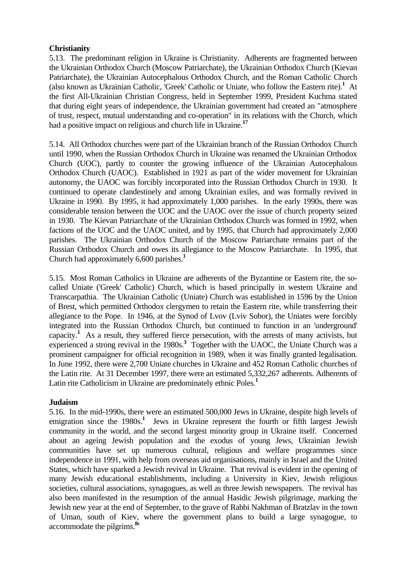### <span id="page-16-0"></span>**Christianity**

5.13. The predominant religion in Ukraine is Christianity. Adherents are fragmented between the Ukrainian Orthodox Church (Moscow Patriarchate), the Ukrainian Orthodox Church (Kievan Patriarchate), the Ukrainian Autocephalous Orthodox Church, and the Roman Catholic Church (also known as Ukrainian Catholic, 'Greek' Catholic or Uniate, who follow the Eastern rite).**<sup>1</sup>** At the first All-Ukrainian Christian Congress, held in September 1999, President Kuchma stated that during eight years of independence, the Ukrainian government had created an "atmosphere of trust, respect, mutual understanding and co-operation" in its relations with the Church, which had a positive impact on religious and church life in Ukraine.**<sup>17</sup>**

5.14. All Orthodox churches were part of the Ukrainian branch of the Russian Orthodox Church until 1990, when the Russian Orthodox Church in Ukraine was renamed the Ukrainian Orthodox Church (UOC), partly to counter the growing influence of the Ukrainian Autocephalous Orthodox Church (UAOC). Established in 1921 as part of the wider movement for Ukrainian autonomy, the UAOC was forcibly incorporated into the Russian Orthodox Church in 1930. It continued to operate clandestinely and among Ukrainian exiles, and was formally revived in Ukraine in 1990. By 1995, it had approximately 1,000 parishes. In the early 1990s, there was considerable tension between the UOC and the UAOC over the issue of church property seized in 1930. The Kievan Patriarchate of the Ukrainian Orthodox Church was formed in 1992, when factions of the UOC and the UAOC united, and by 1995, that Church had approximately 2,000 parishes. The Ukrainian Orthodox Church of the Moscow Patriarchate remains part of the Russian Orthodox Church and owes its allegiance to the Moscow Patriarchate. In 1995, that Church had approximately 6,600 parishes.**<sup>1</sup>**

5.15. Most Roman Catholics in Ukraine are adherents of the Byzantine or Eastern rite, the socalled Uniate ('Greek' Catholic) Church, which is based principally in western Ukraine and Transcarpathia. The Ukrainian Catholic (Uniate) Church was established in 1596 by the Union of Brest, which permitted Orthodox clergymen to retain the Eastern rite, while transferring their allegiance to the Pope. In 1946, at the Synod of Lvov (Lviv Sobor), the Uniates were forcibly integrated into the Russian Orthodox Church, but continued to function in an 'underground' capacity.**<sup>1</sup>** As a result, they suffered fierce persecution, with the arrests of many activists, but experienced a strong revival in the 1980s.<sup>3</sup> Together with the UAOC, the Uniate Church was a prominent campaigner for official recognition in 1989, when it was finally granted legalisation. In June 1992, there were 2,700 Uniate churches in Ukraine and 452 Roman Catholic churches of the Latin rite. At 31 December 1997, there were an estimated 5,332,267 adherents. Adherents of Latin rite Catholicism in Ukraine are predominately ethnic Poles.**<sup>1</sup>**

## **Judaism**

5.16. In the mid-1990s, there were an estimated 500,000 Jews in Ukraine, despite high levels of emigration since the 1980s.<sup>1</sup> Jews in Ukraine represent the fourth or fifth largest Jewish community in the world, and the second largest minority group in Ukraine itself. Concerned about an ageing Jewish population and the exodus of young Jews, Ukrainian Jewish communities have set up numerous cultural, religious and welfare programmes since independence in 1991, with help from overseas aid organisations, mainly in Israel and the United States, which have sparked a Jewish revival in Ukraine. That revival is evident in the opening of many Jewish educational establishments, including a University in Kiev, Jewish religious societies, cultural associations, synagogues, as well as three Jewish newspapers. The revival has also been manifested in the resumption of the annual Hasidic Jewish pilgrimage, marking the Jewish new year at the end of September, to the grave of Rabbi Nakhman of Bratzlav in the town of Uman, south of Kiev, where the government plans to build a large synagogue, to accommodate the pilgrims.**8c**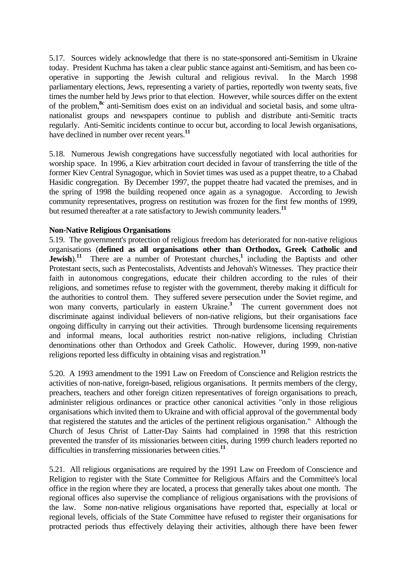<span id="page-17-0"></span>5.17. Sources widely acknowledge that there is no state-sponsored anti-Semitism in Ukraine today. President Kuchma has taken a clear public stance against anti-Semitism, and has been cooperative in supporting the Jewish cultural and religious revival. In the March 1998 parliamentary elections, Jews, representing a variety of parties, reportedly won twenty seats, five times the number held by Jews prior to that election. However, while sources differ on the extent of the problem,**8c** anti-Semitism does exist on an individual and societal basis, and some ultranationalist groups and newspapers continue to publish and distribute anti-Semitic tracts regularly. Anti-Semitic incidents continue to occur but, according to local Jewish organisations, have declined in number over recent years.**<sup>11</sup>**

5.18. Numerous Jewish congregations have successfully negotiated with local authorities for worship space. In 1996, a Kiev arbitration court decided in favour of transferring the title of the former Kiev Central Synagogue, which in Soviet times was used as a puppet theatre, to a Chabad Hasidic congregation. By December 1997, the puppet theatre had vacated the premises, and in the spring of 1998 the building reopened once again as a synagogue. According to Jewish community representatives, progress on restitution was frozen for the first few months of 1999, but resumed thereafter at a rate satisfactory to Jewish community leaders.**<sup>11</sup>**

### **Non-Native Religious Organisations**

5.19. The government's protection of religious freedom has deteriorated for non-native religious organisations (**defined as all organisations other than Orthodox, Greek Catholic and Jewish**).<sup>11</sup> There are a number of Protestant churches,<sup>1</sup> including the Baptists and other Protestant sects, such as Pentecostalists, Adventists and Jehovah's Witnesses. They practice their faith in autonomous congregations, educate their children according to the rules of their religions, and sometimes refuse to register with the government, thereby making it difficult for the authorities to control them. They suffered severe persecution under the Soviet regime, and won many converts, particularly in eastern Ukraine.**<sup>3</sup>** The current government does not discriminate against individual believers of non-native religions, but their organisations face ongoing difficulty in carrying out their activities. Through burdensome licensing requirements and informal means, local authorities restrict non-native religions, including Christian denominations other than Orthodox and Greek Catholic. However, during 1999, non-native religions reported less difficulty in obtaining visas and registration.**<sup>11</sup>**

5.20. A 1993 amendment to the 1991 Law on Freedom of Conscience and Religion restricts the activities of non-native, foreign-based, religious organisations. It permits members of the clergy, preachers, teachers and other foreign citizen representatives of foreign organisations to preach, administer religious ordinances or practice other canonical activities "only in those religious organisations which invited them to Ukraine and with official approval of the governmental body that registered the statutes and the articles of the pertinent religious organisation." Although the Church of Jesus Christ of Latter-Day Saints had complained in 1998 that this restriction prevented the transfer of its missionaries between cities, during 1999 church leaders reported no difficulties in transferring missionaries between cities.**<sup>11</sup>**

5.21. All religious organisations are required by the 1991 Law on Freedom of Conscience and Religion to register with the State Committee for Religious Affairs and the Committee's local office in the region where they are located, a process that generally takes about one month. The regional offices also supervise the compliance of religious organisations with the provisions of the law. Some non-native religious organisations have reported that, especially at local or regional levels, officials of the State Committee have refused to register their organisations for protracted periods thus effectively delaying their activities, although there have been fewer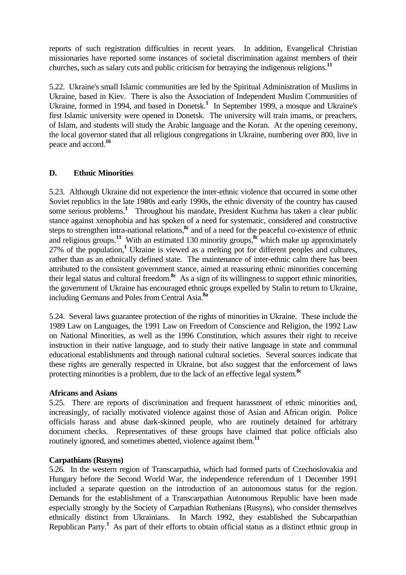<span id="page-18-0"></span>reports of such registration difficulties in recent years. In addition, Evangelical Christian missionaries have reported some instances of societal discrimination against members of their churches, such as salary cuts and public criticism for betraying the indigenous religions.**<sup>11</sup>**

5.22. Ukraine's small Islamic communities are led by the Spiritual Administration of Muslims in Ukraine, based in Kiev. There is also the Association of Independent Muslim Communities of Ukraine, formed in 1994, and based in Donetsk.<sup>1</sup> In September 1999, a mosque and Ukraine's first Islamic university were opened in Donetsk. The university will train imams, or preachers, of Islam, and students will study the Arabic language and the Koran. At the opening ceremony, the local governor stated that all religious congregations in Ukraine, numbering over 800, live in peace and accord.**<sup>16</sup>**

# **D. Ethnic Minorities**

5.23. Although Ukraine did not experience the inter-ethnic violence that occurred in some other Soviet republics in the late 1980s and early 1990s, the ethnic diversity of the country has caused some serious problems.<sup>1</sup> Throughout his mandate, President Kuchma has taken a clear public stance against xenophobia and has spoken of a need for systematic, considered and constructive steps to strengthen intra-national relations,**8c** and of a need for the peaceful co-existence of ethnic and religious groups.**<sup>11</sup>** With an estimated 130 minority groups,**8c** which make up approximately 27% of the population,**<sup>1</sup>** Ukraine is viewed as a melting pot for different peoples and cultures, rather than as an ethnically defined state. The maintenance of inter-ethnic calm there has been attributed to the consistent government stance, aimed at reassuring ethnic minorities concerning their legal status and cultural freedom.**8c** As a sign of its willingness to support ethnic minorities, the government of Ukraine has encouraged ethnic groups expelled by Stalin to return to Ukraine, including Germans and Poles from Central Asia.**8a**

5.24. Several laws guarantee protection of the rights of minorities in Ukraine. These include the 1989 Law on Languages, the 1991 Law on Freedom of Conscience and Religion, the 1992 Law on National Minorities, as well as the 1996 Constitution, which assures their right to receive instruction in their native language, and to study their native language in state and communal educational establishments and through national cultural societies. Several sources indicate that these rights are generally respected in Ukraine, but also suggest that the enforcement of laws protecting minorities is a problem, due to the lack of an effective legal system.**8c**

## **Africans and Asians**

5.25. There are reports of discrimination and frequent harassment of ethnic minorities and, increasingly, of racially motivated violence against those of Asian and African origin. Police officials harass and abuse dark-skinned people, who are routinely detained for arbitrary document checks. Representatives of these groups have claimed that police officials also routinely ignored, and sometimes abetted, violence against them.**<sup>11</sup>**

## **Carpathians (Rusyns)**

5.26. In the western region of Transcarpathia, which had formed parts of Czechoslovakia and Hungary before the Second World War, the independence referendum of 1 December 1991 included a separate question on the introduction of an autonomous status for the region. Demands for the establishment of a Transcarpathian Autonomous Republic have been made especially strongly by the Society of Carpathian Ruthenians (Rusyns), who consider themselves ethnically distinct from Ukrainians. In March 1992, they established the Subcarpathian Republican Party.**<sup>1</sup>**As part of their efforts to obtain official status as a distinct ethnic group in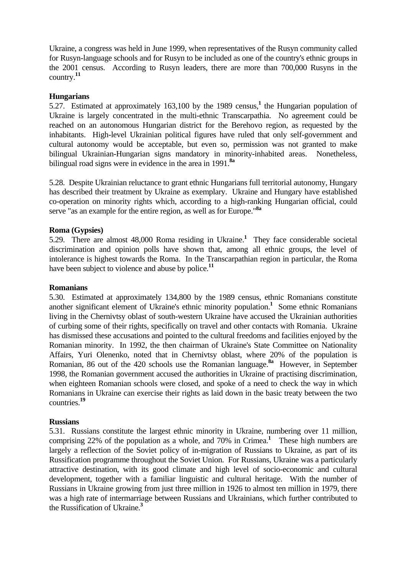<span id="page-19-0"></span>Ukraine, a congress was held in June 1999, when representatives of the Rusyn community called for Rusyn-language schools and for Rusyn to be included as one of the country's ethnic groups in the 2001 census. According to Rusyn leaders, there are more than 700,000 Rusyns in the country.**<sup>11</sup>**

### **Hungarians**

5.27. Estimated at approximately 163,100 by the 1989 census,**<sup>1</sup>** the Hungarian population of Ukraine is largely concentrated in the multi-ethnic Transcarpathia. No agreement could be reached on an autonomous Hungarian district for the Berehovo region, as requested by the inhabitants. High-level Ukrainian political figures have ruled that only self-government and cultural autonomy would be acceptable, but even so, permission was not granted to make bilingual Ukrainian-Hungarian signs mandatory in minority-inhabited areas. Nonetheless, bilingual road signs were in evidence in the area in 1991.**8a**

5.28. Despite Ukrainian reluctance to grant ethnic Hungarians full territorial autonomy, Hungary has described their treatment by Ukraine as exemplary. Ukraine and Hungary have established co-operation on minority rights which, according to a high-ranking Hungarian official, could serve "as an example for the entire region, as well as for Europe."**8a**

### **Roma (Gypsies)**

5.29. There are almost 48,000 Roma residing in Ukraine.**<sup>1</sup>** They face considerable societal discrimination and opinion polls have shown that, among all ethnic groups, the level of intolerance is highest towards the Roma. In the Transcarpathian region in particular, the Roma have been subject to violence and abuse by police.<sup>11</sup>

### **Romanians**

5.30. Estimated at approximately 134,800 by the 1989 census, ethnic Romanians constitute another significant element of Ukraine's ethnic minority population.**<sup>1</sup>** Some ethnic Romanians living in the Chernivtsy oblast of south-western Ukraine have accused the Ukrainian authorities of curbing some of their rights, specifically on travel and other contacts with Romania. Ukraine has dismissed these accusations and pointed to the cultural freedoms and facilities enjoyed by the Romanian minority. In 1992, the then chairman of Ukraine's State Committee on Nationality Affairs, Yuri Olenenko, noted that in Chernivtsy oblast, where 20% of the population is Romanian, 86 out of the 420 schools use the Romanian language.**8a** However, in September 1998, the Romanian government accused the authorities in Ukraine of practising discrimination, when eighteen Romanian schools were closed, and spoke of a need to check the way in which Romanians in Ukraine can exercise their rights as laid down in the basic treaty between the two countries.**<sup>19</sup>**

#### **Russians**

5.31. Russians constitute the largest ethnic minority in Ukraine, numbering over 11 million, comprising 22% of the population as a whole, and 70% in Crimea.**<sup>1</sup>** These high numbers are largely a reflection of the Soviet policy of in-migration of Russians to Ukraine, as part of its Russification programme throughout the Soviet Union. For Russians, Ukraine was a particularly attractive destination, with its good climate and high level of socio-economic and cultural development, together with a familiar linguistic and cultural heritage. With the number of Russians in Ukraine growing from just three million in 1926 to almost ten million in 1979, there was a high rate of intermarriage between Russians and Ukrainians, which further contributed to the Russification of Ukraine.**<sup>3</sup>**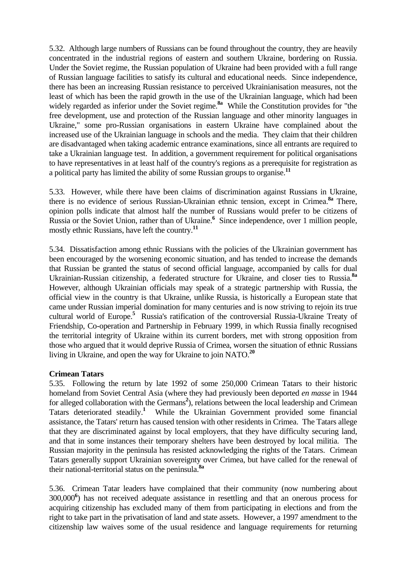<span id="page-20-0"></span>5.32. Although large numbers of Russians can be found throughout the country, they are heavily concentrated in the industrial regions of eastern and southern Ukraine, bordering on Russia. Under the Soviet regime, the Russian population of Ukraine had been provided with a full range of Russian language facilities to satisfy its cultural and educational needs. Since independence, there has been an increasing Russian resistance to perceived Ukrainianisation measures, not the least of which has been the rapid growth in the use of the Ukrainian language, which had been widely regarded as inferior under the Soviet regime.**8a** While the Constitution provides for "the free development, use and protection of the Russian language and other minority languages in Ukraine," some pro-Russian organisations in eastern Ukraine have complained about the increased use of the Ukrainian language in schools and the media. They claim that their children are disadvantaged when taking academic entrance examinations, since all entrants are required to take a Ukrainian language test. In addition, a government requirement for political organisations to have representatives in at least half of the country's regions as a prerequisite for registration as a political party has limited the ability of some Russian groups to organise.**<sup>11</sup>**

5.33. However, while there have been claims of discrimination against Russians in Ukraine, there is no evidence of serious Russian-Ukrainian ethnic tension, except in Crimea.**8a** There, opinion polls indicate that almost half the number of Russians would prefer to be citizens of Russia or the Soviet Union, rather than of Ukraine.<sup>6</sup> Since independence, over 1 million people, mostly ethnic Russians, have left the country.**<sup>11</sup>**

5.34. Dissatisfaction among ethnic Russians with the policies of the Ukrainian government has been encouraged by the worsening economic situation, and has tended to increase the demands that Russian be granted the status of second official language, accompanied by calls for dual Ukrainian-Russian citizenship, a federated structure for Ukraine, and closer ties to Russia.**8a** However, although Ukrainian officials may speak of a strategic partnership with Russia, the official view in the country is that Ukraine, unlike Russia, is historically a European state that came under Russian imperial domination for many centuries and is now striving to rejoin its true cultural world of Europe.**<sup>5</sup>** Russia's ratification of the controversial Russia-Ukraine Treaty of Friendship, Co-operation and Partnership in February 1999, in which Russia finally recognised the territorial integrity of Ukraine within its current borders, met with strong opposition from those who argued that it would deprive Russia of Crimea, worsen the situation of ethnic Russians living in Ukraine, and open the way for Ukraine to join NATO.**<sup>20</sup>**

#### **Crimean Tatars**

5.35. Following the return by late 1992 of some 250,000 Crimean Tatars to their historic homeland from Soviet Central Asia (where they had previously been deported *en masse* in 1944 for alleged collaboration with the Germans<sup>2</sup>), relations between the local leadership and Crimean Tatars deteriorated steadily.**<sup>1</sup>** While the Ukrainian Government provided some financial assistance, the Tatars' return has caused tension with other residents in Crimea. The Tatars allege that they are discriminated against by local employers, that they have difficulty securing land, and that in some instances their temporary shelters have been destroyed by local militia. The Russian majority in the peninsula has resisted acknowledging the rights of the Tatars. Crimean Tatars generally support Ukrainian sovereignty over Crimea, but have called for the renewal of their national-territorial status on the peninsula.**8a**

5.36. Crimean Tatar leaders have complained that their community (now numbering about 300,000**<sup>6</sup>** ) has not received adequate assistance in resettling and that an onerous process for acquiring citizenship has excluded many of them from participating in elections and from the right to take part in the privatisation of land and state assets. However, a 1997 amendment to the citizenship law waives some of the usual residence and language requirements for returning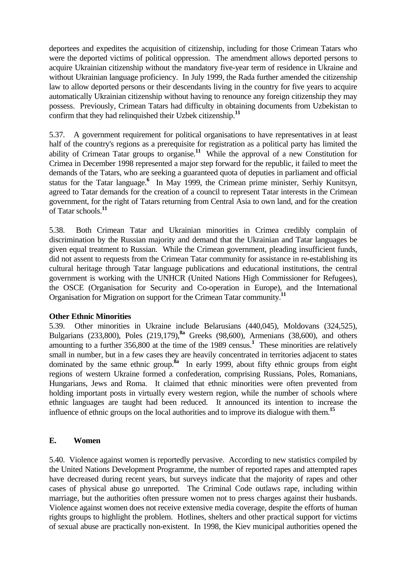<span id="page-21-0"></span>deportees and expedites the acquisition of citizenship, including for those Crimean Tatars who were the deported victims of political oppression. The amendment allows deported persons to acquire Ukrainian citizenship without the mandatory five-year term of residence in Ukraine and without Ukrainian language proficiency. In July 1999, the Rada further amended the citizenship law to allow deported persons or their descendants living in the country for five years to acquire automatically Ukrainian citizenship without having to renounce any foreign citizenship they may possess. Previously, Crimean Tatars had difficulty in obtaining documents from Uzbekistan to confirm that they had relinquished their Uzbek citizenship.**<sup>11</sup>**

5.37. A government requirement for political organisations to have representatives in at least half of the country's regions as a prerequisite for registration as a political party has limited the ability of Crimean Tatar groups to organise.**<sup>11</sup>**While the approval of a new Constitution for Crimea in December 1998 represented a major step forward for the republic, it failed to meet the demands of the Tatars, who are seeking a guaranteed quota of deputies in parliament and official status for the Tatar language.<sup>6</sup> In May 1999, the Crimean prime minister, Serhiy Kunitsyn, agreed to Tatar demands for the creation of a council to represent Tatar interests in the Crimean government, for the right of Tatars returning from Central Asia to own land, and for the creation of Tatar schools.**<sup>11</sup>**

5.38. Both Crimean Tatar and Ukrainian minorities in Crimea credibly complain of discrimination by the Russian majority and demand that the Ukrainian and Tatar languages be given equal treatment to Russian. While the Crimean government, pleading insufficient funds, did not assent to requests from the Crimean Tatar community for assistance in re-establishing its cultural heritage through Tatar language publications and educational institutions, the central government is working with the UNHCR (United Nations High Commissioner for Refugees), the OSCE (Organisation for Security and Co-operation in Europe), and the International Organisation for Migration on support for the Crimean Tatar community.**<sup>11</sup>**

#### **Other Ethnic Minorities**

5.39. Other minorities in Ukraine include Belarusians (440,045), Moldovans (324,525), Bulgarians (233,800), Poles (219,179),**8a** Greeks (98,600), Armenians (38,600), and others amounting to a further 356,800 at the time of the 1989 census.**<sup>1</sup>** These minorities are relatively small in number, but in a few cases they are heavily concentrated in territories adjacent to states dominated by the same ethnic group.**8a** In early 1999, about fifty ethnic groups from eight regions of western Ukraine formed a confederation, comprising Russians, Poles, Romanians, Hungarians, Jews and Roma. It claimed that ethnic minorities were often prevented from holding important posts in virtually every western region, while the number of schools where ethnic languages are taught had been reduced. It announced its intention to increase the influence of ethnic groups on the local authorities and to improve its dialogue with them.**<sup>15</sup>**

## **E. Women**

5.40. Violence against women is reportedly pervasive. According to new statistics compiled by the United Nations Development Programme, the number of reported rapes and attempted rapes have decreased during recent years, but surveys indicate that the majority of rapes and other cases of physical abuse go unreported. The Criminal Code outlaws rape, including within marriage, but the authorities often pressure women not to press charges against their husbands. Violence against women does not receive extensive media coverage, despite the efforts of human rights groups to highlight the problem. Hotlines, shelters and other practical support for victims of sexual abuse are practically non-existent. In 1998, the Kiev municipal authorities opened the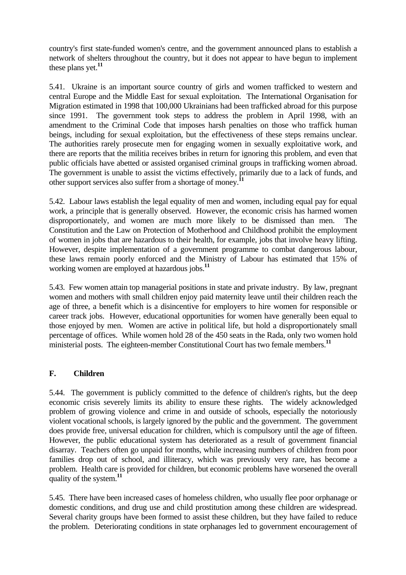<span id="page-22-0"></span>country's first state-funded women's centre, and the government announced plans to establish a network of shelters throughout the country, but it does not appear to have begun to implement these plans yet.**<sup>11</sup>**

5.41. Ukraine is an important source country of girls and women trafficked to western and central Europe and the Middle East for sexual exploitation. The International Organisation for Migration estimated in 1998 that 100,000 Ukrainians had been trafficked abroad for this purpose since 1991. The government took steps to address the problem in April 1998, with an amendment to the Criminal Code that imposes harsh penalties on those who traffick human beings, including for sexual exploitation, but the effectiveness of these steps remains unclear. The authorities rarely prosecute men for engaging women in sexually exploitative work, and there are reports that the militia receives bribes in return for ignoring this problem, and even that public officials have abetted or assisted organised criminal groups in trafficking women abroad. The government is unable to assist the victims effectively, primarily due to a lack of funds, and other support services also suffer from a shortage of money.**<sup>11</sup>**

5.42. Labour laws establish the legal equality of men and women, including equal pay for equal work, a principle that is generally observed. However, the economic crisis has harmed women disproportionately, and women are much more likely to be dismissed than men. The Constitution and the Law on Protection of Motherhood and Childhood prohibit the employment of women in jobs that are hazardous to their health, for example, jobs that involve heavy lifting. However, despite implementation of a government programme to combat dangerous labour, these laws remain poorly enforced and the Ministry of Labour has estimated that 15% of working women are employed at hazardous jobs.**<sup>11</sup>**

5.43. Few women attain top managerial positions in state and private industry. By law, pregnant women and mothers with small children enjoy paid maternity leave until their children reach the age of three, a benefit which is a disincentive for employers to hire women for responsible or career track jobs. However, educational opportunities for women have generally been equal to those enjoyed by men. Women are active in political life, but hold a disproportionately small percentage of offices. While women hold 28 of the 450 seats in the Rada, only two women hold ministerial posts. The eighteen-member Constitutional Court has two female members.**<sup>11</sup>**

## **F. Children**

5.44. The government is publicly committed to the defence of children's rights, but the deep economic crisis severely limits its ability to ensure these rights. The widely acknowledged problem of growing violence and crime in and outside of schools, especially the notoriously violent vocational schools, is largely ignored by the public and the government. The government does provide free, universal education for children, which is compulsory until the age of fifteen. However, the public educational system has deteriorated as a result of government financial disarray. Teachers often go unpaid for months, while increasing numbers of children from poor families drop out of school, and illiteracy, which was previously very rare, has become a problem. Health care is provided for children, but economic problems have worsened the overall quality of the system.**<sup>11</sup>**

5.45. There have been increased cases of homeless children, who usually flee poor orphanage or domestic conditions, and drug use and child prostitution among these children are widespread. Several charity groups have been formed to assist these children, but they have failed to reduce the problem. Deteriorating conditions in state orphanages led to government encouragement of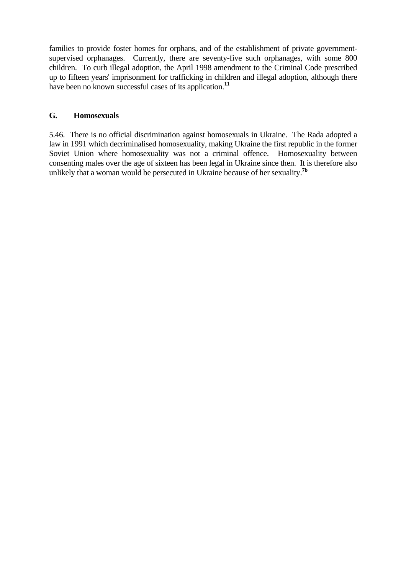<span id="page-23-0"></span>families to provide foster homes for orphans, and of the establishment of private governmentsupervised orphanages. Currently, there are seventy-five such orphanages, with some 800 children. To curb illegal adoption, the April 1998 amendment to the Criminal Code prescribed up to fifteen years' imprisonment for trafficking in children and illegal adoption, although there have been no known successful cases of its application.**<sup>11</sup>**

## **G. Homosexuals**

5.46. There is no official discrimination against homosexuals in Ukraine. The Rada adopted a law in 1991 which decriminalised homosexuality, making Ukraine the first republic in the former Soviet Union where homosexuality was not a criminal offence. Homosexuality between consenting males over the age of sixteen has been legal in Ukraine since then. It is therefore also unlikely that a woman would be persecuted in Ukraine because of her sexuality.**7b**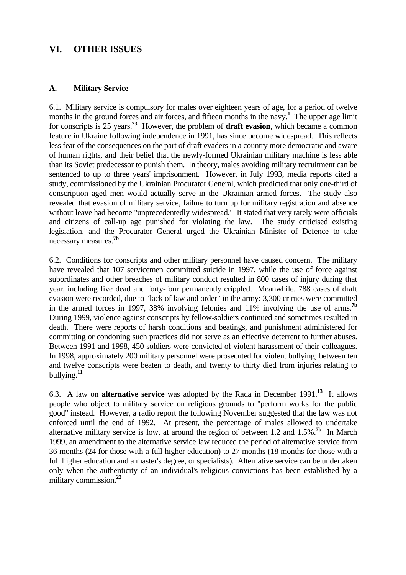# <span id="page-24-0"></span>**VI. OTHER ISSUES**

#### **A. Military Service**

6.1. Military service is compulsory for males over eighteen years of age, for a period of twelve months in the ground forces and air forces, and fifteen months in the navy.**<sup>1</sup>** The upper age limit for conscripts is 25 years.**<sup>23</sup>** However, the problem of **draft evasion**, which became a common feature in Ukraine following independence in 1991, has since become widespread. This reflects less fear of the consequences on the part of draft evaders in a country more democratic and aware of human rights, and their belief that the newly-formed Ukrainian military machine is less able than its Soviet predecessor to punish them. In theory, males avoiding military recruitment can be sentenced to up to three years' imprisonment. However, in July 1993, media reports cited a study, commissioned by the Ukrainian Procurator General, which predicted that only one-third of conscription aged men would actually serve in the Ukrainian armed forces. The study also revealed that evasion of military service, failure to turn up for military registration and absence without leave had become "unprecedentedly widespread." It stated that very rarely were officials and citizens of call-up age punished for violating the law. The study criticised existing legislation, and the Procurator General urged the Ukrainian Minister of Defence to take necessary measures.**7b**

6.2. Conditions for conscripts and other military personnel have caused concern. The military have revealed that 107 servicemen committed suicide in 1997, while the use of force against subordinates and other breaches of military conduct resulted in 800 cases of injury during that year, including five dead and forty-four permanently crippled. Meanwhile, 788 cases of draft evasion were recorded, due to "lack of law and order" in the army: 3,300 crimes were committed in the armed forces in 1997, 38% involving felonies and 11% involving the use of arms.**7b** During 1999, violence against conscripts by fellow-soldiers continued and sometimes resulted in death. There were reports of harsh conditions and beatings, and punishment administered for committing or condoning such practices did not serve as an effective deterrent to further abuses. Between 1991 and 1998, 450 soldiers were convicted of violent harassment of their colleagues. In 1998, approximately 200 military personnel were prosecuted for violent bullying; between ten and twelve conscripts were beaten to death, and twenty to thirty died from injuries relating to bullying.**<sup>11</sup>**

6.3. A law on **alternative service** was adopted by the Rada in December 1991.**<sup>13</sup>** It allows people who object to military service on religious grounds to "perform works for the public good" instead. However, a radio report the following November suggested that the law was not enforced until the end of 1992. At present, the percentage of males allowed to undertake alternative military service is low, at around the region of between 1.2 and 1.5%.**7b** In March 1999, an amendment to the alternative service law reduced the period of alternative service from 36 months (24 for those with a full higher education) to 27 months (18 months for those with a full higher education and a master's degree, or specialists). Alternative service can be undertaken only when the authenticity of an individual's religious convictions has been established by a military commission.**<sup>22</sup>**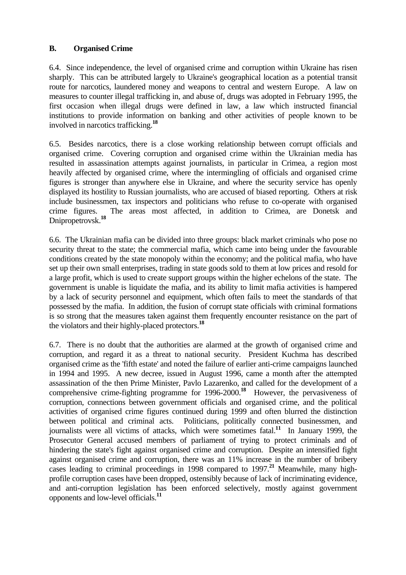## <span id="page-25-0"></span>**B. Organised Crime**

6.4. Since independence, the level of organised crime and corruption within Ukraine has risen sharply. This can be attributed largely to Ukraine's geographical location as a potential transit route for narcotics, laundered money and weapons to central and western Europe. A law on measures to counter illegal trafficking in, and abuse of, drugs was adopted in February 1995, the first occasion when illegal drugs were defined in law, a law which instructed financial institutions to provide information on banking and other activities of people known to be involved in narcotics trafficking.**<sup>18</sup>**

6.5. Besides narcotics, there is a close working relationship between corrupt officials and organised crime. Covering corruption and organised crime within the Ukrainian media has resulted in assassination attempts against journalists, in particular in Crimea, a region most heavily affected by organised crime, where the intermingling of officials and organised crime figures is stronger than anywhere else in Ukraine, and where the security service has openly displayed its hostility to Russian journalists, who are accused of biased reporting. Others at risk include businessmen, tax inspectors and politicians who refuse to co-operate with organised crime figures. The areas most affected, in addition to Crimea, are Donetsk and Dnipropetrovsk.**<sup>18</sup>**

6.6. The Ukrainian mafia can be divided into three groups: black market criminals who pose no security threat to the state; the commercial mafia, which came into being under the favourable conditions created by the state monopoly within the economy; and the political mafia, who have set up their own small enterprises, trading in state goods sold to them at low prices and resold for a large profit, which is used to create support groups within the higher echelons of the state. The government is unable is liquidate the mafia, and its ability to limit mafia activities is hampered by a lack of security personnel and equipment, which often fails to meet the standards of that possessed by the mafia. In addition, the fusion of corrupt state officials with criminal formations is so strong that the measures taken against them frequently encounter resistance on the part of the violators and their highly-placed protectors.**<sup>18</sup>**

6.7. There is no doubt that the authorities are alarmed at the growth of organised crime and corruption, and regard it as a threat to national security. President Kuchma has described organised crime as the 'fifth estate' and noted the failure of earlier anti-crime campaigns launched in 1994 and 1995. A new decree, issued in August 1996, came a month after the attempted assassination of the then Prime Minister, Pavlo Lazarenko, and called for the development of a comprehensive crime-fighting programme for 1996-2000.**<sup>18</sup>** However, the pervasiveness of corruption, connections between government officials and organised crime, and the political activities of organised crime figures continued during 1999 and often blurred the distinction between political and criminal acts. Politicians, politically connected businessmen, and journalists were all victims of attacks, which were sometimes fatal.**<sup>11</sup>** In January 1999, the Prosecutor General accused members of parliament of trying to protect criminals and of hindering the state's fight against organised crime and corruption. Despite an intensified fight against organised crime and corruption, there was an 11% increase in the number of bribery cases leading to criminal proceedings in 1998 compared to 1997.**<sup>21</sup>** Meanwhile, many highprofile corruption cases have been dropped, ostensibly because of lack of incriminating evidence, and anti-corruption legislation has been enforced selectively, mostly against government opponents and low-level officials.**<sup>11</sup>**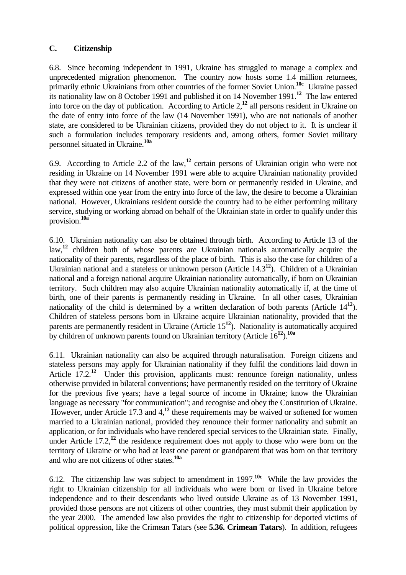## <span id="page-26-0"></span>**C. Citizenship**

6.8. Since becoming independent in 1991, Ukraine has struggled to manage a complex and unprecedented migration phenomenon. The country now hosts some 1.4 million returnees, primarily ethnic Ukrainians from other countries of the former Soviet Union.**10c** Ukraine passed its nationality law on 8 October 1991 and published it on 14 November 1991.**<sup>12</sup>** The law entered into force on the day of publication. According to Article 2,**<sup>12</sup>** all persons resident in Ukraine on the date of entry into force of the law (14 November 1991), who are not nationals of another state, are considered to be Ukrainian citizens, provided they do not object to it. It is unclear if such a formulation includes temporary residents and, among others, former Soviet military personnel situated in Ukraine.**10a**

6.9. According to Article 2.2 of the law,**<sup>12</sup>** certain persons of Ukrainian origin who were not residing in Ukraine on 14 November 1991 were able to acquire Ukrainian nationality provided that they were not citizens of another state, were born or permanently resided in Ukraine, and expressed within one year from the entry into force of the law, the desire to become a Ukrainian national. However, Ukrainians resident outside the country had to be either performing military service, studying or working abroad on behalf of the Ukrainian state in order to qualify under this provision.**10a**

6.10. Ukrainian nationality can also be obtained through birth. According to Article 13 of the law,<sup>12</sup> children both of whose parents are Ukrainian nationals automatically acquire the nationality of their parents, regardless of the place of birth. This is also the case for children of a Ukrainian national and a stateless or unknown person (Article 14.3**<sup>12</sup>**). Children of a Ukrainian national and a foreign national acquire Ukrainian nationality automatically, if born on Ukrainian territory. Such children may also acquire Ukrainian nationality automatically if, at the time of birth, one of their parents is permanently residing in Ukraine. In all other cases, Ukrainian nationality of the child is determined by a written declaration of both parents (Article 14**<sup>12</sup>**). Children of stateless persons born in Ukraine acquire Ukrainian nationality, provided that the parents are permanently resident in Ukraine (Article 15<sup>12</sup>). Nationality is automatically acquired by children of unknown parents found on Ukrainian territory (Article 16**<sup>12</sup>**).**10a**

6.11. Ukrainian nationality can also be acquired through naturalisation. Foreign citizens and stateless persons may apply for Ukrainian nationality if they fulfil the conditions laid down in Article 17.2<sup>12</sup> Under this provision, applicants must: renounce foreign nationality, unless otherwise provided in bilateral conventions; have permanently resided on the territory of Ukraine for the previous five years; have a legal source of income in Ukraine; know the Ukrainian language as necessary "for communication"; and recognise and obey the Constitution of Ukraine. However, under Article 17.3 and 4,**<sup>12</sup>** these requirements may be waived or softened for women married to a Ukrainian national, provided they renounce their former nationality and submit an application, or for individuals who have rendered special services to the Ukrainian state. Finally, under Article 17.2<sup>12</sup> the residence requirement does not apply to those who were born on the territory of Ukraine or who had at least one parent or grandparent that was born on that territory and who are not citizens of other states.**10a**

6.12. The citizenship law was subject to amendment in 1997.**10c** While the law provides the right to Ukrainian citizenship for all individuals who were born or lived in Ukraine before independence and to their descendants who lived outside Ukraine as of 13 November 1991, provided those persons are not citizens of other countries, they must submit their application by the year 2000. The amended law also provides the right to citizenship for deported victims of political oppression, like the Crimean Tatars (see **5.36. Crimean Tatars**). In addition, refugees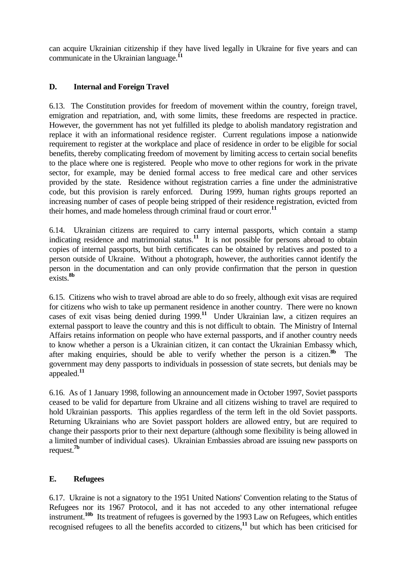<span id="page-27-0"></span>can acquire Ukrainian citizenship if they have lived legally in Ukraine for five years and can communicate in the Ukrainian language.**<sup>11</sup>**

# **D. Internal and Foreign Travel**

6.13. The Constitution provides for freedom of movement within the country, foreign travel, emigration and repatriation, and, with some limits, these freedoms are respected in practice. However, the government has not yet fulfilled its pledge to abolish mandatory registration and replace it with an informational residence register. Current regulations impose a nationwide requirement to register at the workplace and place of residence in order to be eligible for social benefits, thereby complicating freedom of movement by limiting access to certain social benefits to the place where one is registered. People who move to other regions for work in the private sector, for example, may be denied formal access to free medical care and other services provided by the state. Residence without registration carries a fine under the administrative code, but this provision is rarely enforced. During 1999, human rights groups reported an increasing number of cases of people being stripped of their residence registration, evicted from their homes, and made homeless through criminal fraud or court error.**<sup>11</sup>**

6.14. Ukrainian citizens are required to carry internal passports, which contain a stamp indicating residence and matrimonial status.<sup>11</sup> It is not possible for persons abroad to obtain copies of internal passports, but birth certificates can be obtained by relatives and posted to a person outside of Ukraine. Without a photograph, however, the authorities cannot identify the person in the documentation and can only provide confirmation that the person in question exists.**8b**

6.15. Citizens who wish to travel abroad are able to do so freely, although exit visas are required for citizens who wish to take up permanent residence in another country. There were no known cases of exit visas being denied during 1999.**<sup>11</sup>** Under Ukrainian law, a citizen requires an external passport to leave the country and this is not difficult to obtain. The Ministry of Internal Affairs retains information on people who have external passports, and if another country needs to know whether a person is a Ukrainian citizen, it can contact the Ukrainian Embassy which, after making enquiries, should be able to verify whether the person is a citizen.**8b** The government may deny passports to individuals in possession of state secrets, but denials may be appealed.**<sup>11</sup>**

6.16. As of 1 January 1998, following an announcement made in October 1997, Soviet passports ceased to be valid for departure from Ukraine and all citizens wishing to travel are required to hold Ukrainian passports. This applies regardless of the term left in the old Soviet passports. Returning Ukrainians who are Soviet passport holders are allowed entry, but are required to change their passports prior to their next departure (although some flexibility is being allowed in a limited number of individual cases). Ukrainian Embassies abroad are issuing new passports on request.**7b**

## **E. Refugees**

6.17. Ukraine is not a signatory to the 1951 United Nations' Convention relating to the Status of Refugees nor its 1967 Protocol, and it has not acceded to any other international refugee instrument.**10b** Its treatment of refugees is governed by the 1993 Law on Refugees, which entitles recognised refugees to all the benefits accorded to citizens,**<sup>11</sup>** but which has been criticised for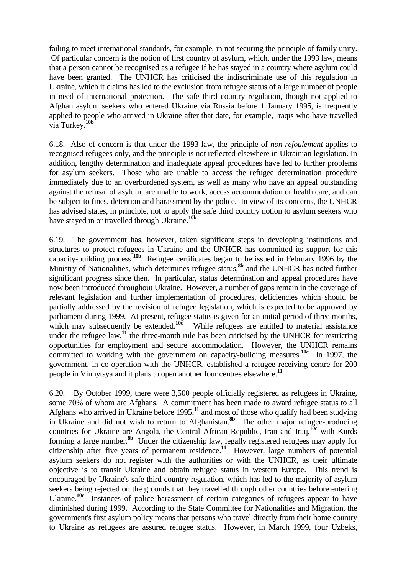failing to meet international standards, for example, in not securing the principle of family unity. Of particular concern is the notion of first country of asylum, which, under the 1993 law, means that a person cannot be recognised as a refugee if he has stayed in a country where asylum could have been granted. The UNHCR has criticised the indiscriminate use of this regulation in Ukraine, which it claims has led to the exclusion from refugee status of a large number of people in need of international protection. The safe third country regulation, though not applied to Afghan asylum seekers who entered Ukraine via Russia before 1 January 1995, is frequently applied to people who arrived in Ukraine after that date, for example, Iraqis who have travelled via Turkey.**10b**

6.18. Also of concern is that under the 1993 law, the principle of *non-refoulement* applies to recognised refugees only, and the principle is not reflected elsewhere in Ukrainian legislation. In addition, lengthy determination and inadequate appeal procedures have led to further problems for asylum seekers. Those who are unable to access the refugee determination procedure immediately due to an overburdened system, as well as many who have an appeal outstanding against the refusal of asylum, are unable to work, access accommodation or health care, and can be subject to fines, detention and harassment by the police. In view of its concerns, the UNHCR has advised states, in principle, not to apply the safe third country notion to asylum seekers who have stayed in or travelled through Ukraine.**10b**

6.19. The government has, however, taken significant steps in developing institutions and structures to protect refugees in Ukraine and the UNHCR has committed its support for this capacity-building process.**10b** Refugee certificates began to be issued in February 1996 by the Ministry of Nationalities, which determines refugee status,<sup>8b</sup> and the UNHCR has noted further significant progress since then. In particular, status determination and appeal procedures have now been introduced throughout Ukraine. However, a number of gaps remain in the coverage of relevant legislation and further implementation of procedures, deficiencies which should be partially addressed by the revision of refugee legislation, which is expected to be approved by parliament during 1999. At present, refugee status is given for an initial period of three months, which may subsequently be extended.<sup>10c</sup> While refugees are entitled to material assistance under the refugee law,<sup>11</sup> the three-month rule has been criticised by the UNHCR for restricting opportunities for employment and secure accommodation. However, the UNHCR remains committed to working with the government on capacity-building measures.<sup>10c</sup> In 1997, the government, in co-operation with the UNHCR, established a refugee receiving centre for 200 people in Vinnytsya and it plans to open another four centres elsewhere.**<sup>11</sup>**

6.20. By October 1999, there were 3,500 people officially registered as refugees in Ukraine, some 70% of whom are Afghans. A commitment has been made to award refugee status to all Afghans who arrived in Ukraine before 1995,**<sup>11</sup>** and most of those who qualify had been studying in Ukraine and did not wish to return to Afghanistan.**8b** The other major refugee-producing countries for Ukraine are Angola, the Central African Republic, Iran and Iraq,**10c** with Kurds forming a large number.**8b** Under the citizenship law, legally registered refugees may apply for citizenship after five years of permanent residence.**<sup>11</sup>** However, large numbers of potential asylum seekers do not register with the authorities or with the UNHCR, as their ultimate objective is to transit Ukraine and obtain refugee status in western Europe. This trend is encouraged by Ukraine's safe third country regulation, which has led to the majority of asylum seekers being rejected on the grounds that they travelled through other countries before entering Ukraine.<sup>10c</sup> Instances of police harassment of certain categories of refugees appear to have diminished during 1999. According to the State Committee for Nationalities and Migration, the government's first asylum policy means that persons who travel directly from their home country to Ukraine as refugees are assured refugee status. However, in March 1999, four Uzbeks,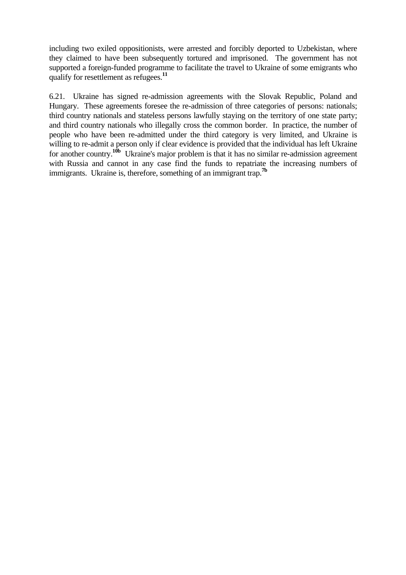including two exiled oppositionists, were arrested and forcibly deported to Uzbekistan, where they claimed to have been subsequently tortured and imprisoned. The government has not supported a foreign-funded programme to facilitate the travel to Ukraine of some emigrants who qualify for resettlement as refugees.**<sup>11</sup>**

6.21. Ukraine has signed re-admission agreements with the Slovak Republic, Poland and Hungary. These agreements foresee the re-admission of three categories of persons: nationals; third country nationals and stateless persons lawfully staying on the territory of one state party; and third country nationals who illegally cross the common border. In practice, the number of people who have been re-admitted under the third category is very limited, and Ukraine is willing to re-admit a person only if clear evidence is provided that the individual has left Ukraine for another country.**10b** Ukraine's major problem is that it has no similar re-admission agreement with Russia and cannot in any case find the funds to repatriate the increasing numbers of immigrants. Ukraine is, therefore, something of an immigrant trap.<sup>7b</sup>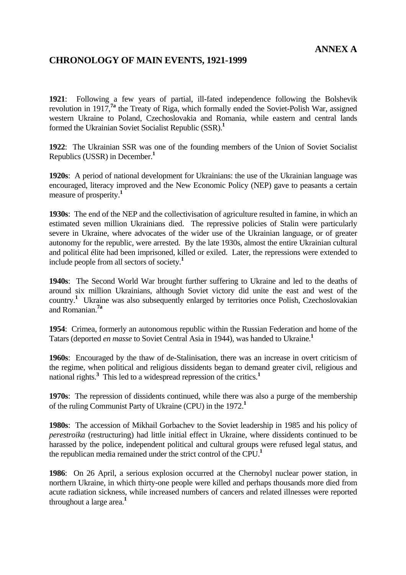# <span id="page-30-0"></span>**CHRONOLOGY OF MAIN EVENTS, 1921-1999**

**1921**: Following a few years of partial, ill-fated independence following the Bolshevik revolution in 1917,**7a** the Treaty of Riga, which formally ended the Soviet-Polish War, assigned western Ukraine to Poland, Czechoslovakia and Romania, while eastern and central lands formed the Ukrainian Soviet Socialist Republic (SSR).**<sup>1</sup>**

**1922**: The Ukrainian SSR was one of the founding members of the Union of Soviet Socialist Republics (USSR) in December.**<sup>1</sup>**

**1920s**: A period of national development for Ukrainians: the use of the Ukrainian language was encouraged, literacy improved and the New Economic Policy (NEP) gave to peasants a certain measure of prosperity.**<sup>1</sup>**

**1930s**: The end of the NEP and the collectivisation of agriculture resulted in famine, in which an estimated seven million Ukrainians died. The repressive policies of Stalin were particularly severe in Ukraine, where advocates of the wider use of the Ukrainian language, or of greater autonomy for the republic, were arrested. By the late 1930s, almost the entire Ukrainian cultural and political élite had been imprisoned, killed or exiled. Later, the repressions were extended to include people from all sectors of society.**<sup>1</sup>**

**1940s**: The Second World War brought further suffering to Ukraine and led to the deaths of around six million Ukrainians, although Soviet victory did unite the east and west of the country.**<sup>1</sup>** Ukraine was also subsequently enlarged by territories once Polish, Czechoslovakian and Romanian.**7a**

**1954**: Crimea, formerly an autonomous republic within the Russian Federation and home of the Tatars (deported *en masse* to Soviet Central Asia in 1944), was handed to Ukraine.**<sup>1</sup>**

**1960s**: Encouraged by the thaw of de-Stalinisation, there was an increase in overt criticism of the regime, when political and religious dissidents began to demand greater civil, religious and national rights.**<sup>3</sup>** This led to a widespread repression of the critics.**<sup>1</sup>**

**1970s**: The repression of dissidents continued, while there was also a purge of the membership of the ruling Communist Party of Ukraine (CPU) in the 1972.**<sup>1</sup>**

**1980s**: The accession of Mikhail Gorbachev to the Soviet leadership in 1985 and his policy of *perestroika* (restructuring) had little initial effect in Ukraine, where dissidents continued to be harassed by the police, independent political and cultural groups were refused legal status, and the republican media remained under the strict control of the CPU.**<sup>1</sup>**

**1986**: On 26 April, a serious explosion occurred at the Chernobyl nuclear power station, in northern Ukraine, in which thirty-one people were killed and perhaps thousands more died from acute radiation sickness, while increased numbers of cancers and related illnesses were reported throughout a large area.**<sup>1</sup>**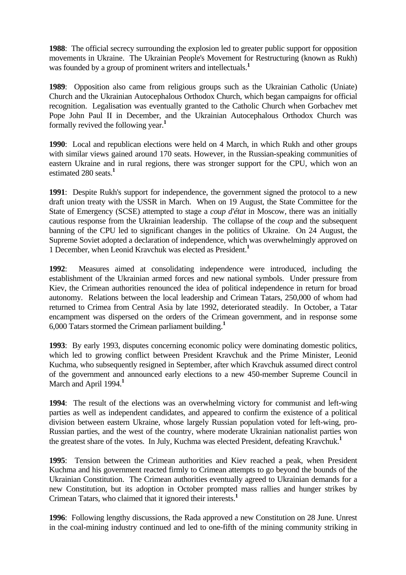**1988**: The official secrecy surrounding the explosion led to greater public support for opposition movements in Ukraine. The Ukrainian People's Movement for Restructuring (known as Rukh) was founded by a group of prominent writers and intellectuals.**<sup>1</sup>**

**1989**: Opposition also came from religious groups such as the Ukrainian Catholic (Uniate) Church and the Ukrainian Autocephalous Orthodox Church, which began campaigns for official recognition. Legalisation was eventually granted to the Catholic Church when Gorbachev met Pope John Paul II in December, and the Ukrainian Autocephalous Orthodox Church was formally revived the following year.**<sup>1</sup>**

**1990**: Local and republican elections were held on 4 March, in which Rukh and other groups with similar views gained around 170 seats. However, in the Russian-speaking communities of eastern Ukraine and in rural regions, there was stronger support for the CPU, which won an estimated 280 seats.**<sup>1</sup>**

**1991**: Despite Rukh's support for independence, the government signed the protocol to a new draft union treaty with the USSR in March. When on 19 August, the State Committee for the State of Emergency (SCSE) attempted to stage a *coup d'état* in Moscow, there was an initially cautious response from the Ukrainian leadership. The collapse of the *coup* and the subsequent banning of the CPU led to significant changes in the politics of Ukraine. On 24 August, the Supreme Soviet adopted a declaration of independence, which was overwhelmingly approved on 1 December, when Leonid Kravchuk was elected as President.**<sup>1</sup>**

**1992**: Measures aimed at consolidating independence were introduced, including the establishment of the Ukrainian armed forces and new national symbols. Under pressure from Kiev, the Crimean authorities renounced the idea of political independence in return for broad autonomy. Relations between the local leadership and Crimean Tatars, 250,000 of whom had returned to Crimea from Central Asia by late 1992, deteriorated steadily. In October, a Tatar encampment was dispersed on the orders of the Crimean government, and in response some 6,000 Tatars stormed the Crimean parliament building.**<sup>1</sup>**

**1993**: By early 1993, disputes concerning economic policy were dominating domestic politics, which led to growing conflict between President Kravchuk and the Prime Minister, Leonid Kuchma, who subsequently resigned in September, after which Kravchuk assumed direct control of the government and announced early elections to a new 450-member Supreme Council in March and April 1994.<sup>1</sup>

**1994**: The result of the elections was an overwhelming victory for communist and left-wing parties as well as independent candidates, and appeared to confirm the existence of a political division between eastern Ukraine, whose largely Russian population voted for left-wing, pro-Russian parties, and the west of the country, where moderate Ukrainian nationalist parties won the greatest share of the votes. In July, Kuchma was elected President, defeating Kravchuk.**<sup>1</sup>**

**1995**: Tension between the Crimean authorities and Kiev reached a peak, when President Kuchma and his government reacted firmly to Crimean attempts to go beyond the bounds of the Ukrainian Constitution. The Crimean authorities eventually agreed to Ukrainian demands for a new Constitution, but its adoption in October prompted mass rallies and hunger strikes by Crimean Tatars, who claimed that it ignored their interests.**<sup>1</sup>**

**1996**: Following lengthy discussions, the Rada approved a new Constitution on 28 June. Unrest in the coal-mining industry continued and led to one-fifth of the mining community striking in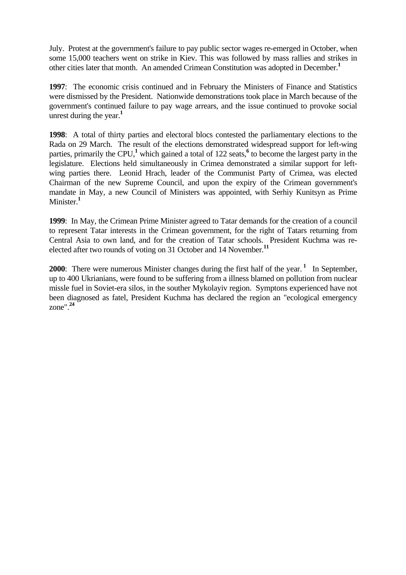July. Protest at the government's failure to pay public sector wages re-emerged in October, when some 15,000 teachers went on strike in Kiev. This was followed by mass rallies and strikes in other cities later that month. An amended Crimean Constitution was adopted in December.**<sup>1</sup>**

**1997**: The economic crisis continued and in February the Ministers of Finance and Statistics were dismissed by the President. Nationwide demonstrations took place in March because of the government's continued failure to pay wage arrears, and the issue continued to provoke social unrest during the year.**<sup>1</sup>**

**1998**: A total of thirty parties and electoral blocs contested the parliamentary elections to the Rada on 29 March. The result of the elections demonstrated widespread support for left-wing parties, primarily the CPU,<sup>1</sup> which gained a total of 122 seats,<sup>6</sup> to become the largest party in the legislature. Elections held simultaneously in Crimea demonstrated a similar support for leftwing parties there. Leonid Hrach, leader of the Communist Party of Crimea, was elected Chairman of the new Supreme Council, and upon the expiry of the Crimean government's mandate in May, a new Council of Ministers was appointed, with Serhiy Kunitsyn as Prime Minister<sup>1</sup>

**1999**: In May, the Crimean Prime Minister agreed to Tatar demands for the creation of a council to represent Tatar interests in the Crimean government, for the right of Tatars returning from Central Asia to own land, and for the creation of Tatar schools. President Kuchma was reelected after two rounds of voting on 31 October and 14 November.**<sup>11</sup>**

**2000**: There were numerous Minister changes during the first half of the year.<sup>1</sup> In September, up to 400 Ukrianians, were found to be suffering from a illness blamed on pollution from nuclear missle fuel in Soviet-era silos, in the souther Mykolayiv region. Symptons experienced have not been diagnosed as fatel, President Kuchma has declared the region an "ecological emergency zone".**<sup>24</sup>**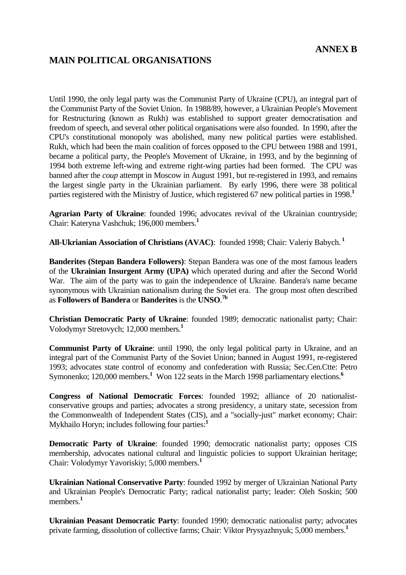# **ANNEX B**

# <span id="page-33-0"></span>**MAIN POLITICAL ORGANISATIONS**

Until 1990, the only legal party was the Communist Party of Ukraine (CPU), an integral part of the Communist Party of the Soviet Union. In 1988/89, however, a Ukrainian People's Movement for Restructuring (known as Rukh) was established to support greater democratisation and freedom of speech, and several other political organisations were also founded. In 1990, after the CPU's constitutional monopoly was abolished, many new political parties were established. Rukh, which had been the main coalition of forces opposed to the CPU between 1988 and 1991, became a political party, the People's Movement of Ukraine, in 1993, and by the beginning of 1994 both extreme left-wing and extreme right-wing parties had been formed. The CPU was banned after the *coup* attempt in Moscow in August 1991, but re-registered in 1993, and remains the largest single party in the Ukrainian parliament. By early 1996, there were 38 political parties registered with the Ministry of Justice, which registered 67 new political parties in 1998.**<sup>1</sup>**

**Agrarian Party of Ukraine**: founded 1996; advocates revival of the Ukrainian countryside; Chair: Kateryna Vashchuk; 196,000 members.**<sup>1</sup>**

**All-Ukrianian Association of Christians (AVAC)**: founded 1998; Chair: Valeriy Babych.**<sup>1</sup>**

**Banderites (Stepan Bandera Followers)**: Stepan Bandera was one of the most famous leaders of the **Ukrainian Insurgent Army (UPA)** which operated during and after the Second World War. The aim of the party was to gain the independence of Ukraine. Bandera's name became synonymous with Ukrainian nationalism during the Soviet era. The group most often described as **Followers of Bandera** or **Banderites** is the **UNSO**. **7b**

**Christian Democratic Party of Ukraine**: founded 1989; democratic nationalist party; Chair: Volodymyr Stretovych; 12,000 members.**<sup>1</sup>**

**Communist Party of Ukraine**: until 1990, the only legal political party in Ukraine, and an integral part of the Communist Party of the Soviet Union; banned in August 1991, re-registered 1993; advocates state control of economy and confederation with Russia; Sec.Cen.Ctte: Petro Symonenko; 120,000 members.<sup>1</sup> Won 122 seats in the March 1998 parliamentary elections.<sup>6</sup>

**Congress of National Democratic Forces**: founded 1992; alliance of 20 nationalistconservative groups and parties; advocates a strong presidency, a unitary state, secession from the Commonwealth of Independent States (CIS), and a "socially-just" market economy; Chair: Mykhailo Horyn; includes following four parties:**<sup>1</sup>**

**Democratic Party of Ukraine**: founded 1990; democratic nationalist party; opposes CIS membership, advocates national cultural and linguistic policies to support Ukrainian heritage; Chair: Volodymyr Yavoriskiy; 5,000 members.**<sup>1</sup>**

**Ukrainian National Conservative Party**: founded 1992 by merger of Ukrainian National Party and Ukrainian People's Democratic Party; radical nationalist party; leader: Oleh Soskin; 500 members.**<sup>1</sup>**

**Ukrainian Peasant Democratic Party**: founded 1990; democratic nationalist party; advocates private farming, dissolution of collective farms; Chair: Viktor Prysyazhnyuk; 5,000 members.**<sup>1</sup>**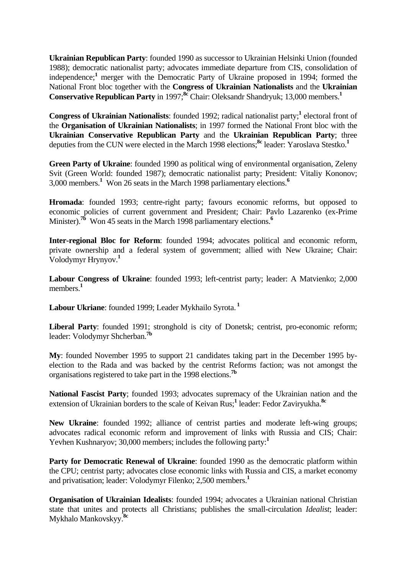**Ukrainian Republican Party**: founded 1990 as successor to Ukrainian Helsinki Union (founded 1988); democratic nationalist party; advocates immediate departure from CIS, consolidation of independence;**<sup>1</sup>** merger with the Democratic Party of Ukraine proposed in 1994; formed the National Front bloc together with the **Congress of Ukrainian Nationalists** and the **Ukrainian Conservative Republican Party** in 1997;<sup>8c</sup> Chair: Oleksandr Shandryuk; 13,000 members.<sup>1</sup>

Congress of Ukrainian Nationalists: founded 1992; radical nationalist party;<sup>1</sup> electoral front of the **Organisation of Ukrainian Nationalists**; in 1997 formed the National Front bloc with the **Ukrainian Conservative Republican Party** and the **Ukrainian Republican Party**; three deputies from the CUN were elected in the March 1998 elections;**8c** leader: Yaroslava Stestko.**<sup>1</sup>**

**Green Party of Ukraine**: founded 1990 as political wing of environmental organisation, Zeleny Svit (Green World: founded 1987); democratic nationalist party; President: Vitaliy Kononov; 3,000 members.**<sup>1</sup>** Won 26 seats in the March 1998 parliamentary elections.**<sup>6</sup>**

**Hromada**: founded 1993; centre-right party; favours economic reforms, but opposed to economic policies of current government and President; Chair: Pavlo Lazarenko (ex-Prime Minister).<sup>7b</sup> Won 45 seats in the March 1998 parliamentary elections.<sup>6</sup>

**Inter-regional Bloc for Reform**: founded 1994; advocates political and economic reform, private ownership and a federal system of government; allied with New Ukraine; Chair: Volodymyr Hrynyov.**<sup>1</sup>**

**Labour Congress of Ukraine**: founded 1993; left-centrist party; leader: A Matvienko; 2,000 members.**<sup>1</sup>**

**Labour Ukriane**: founded 1999; Leader Mykhailo Syrota.**<sup>1</sup>**

**Liberal Party**: founded 1991; stronghold is city of Donetsk; centrist, pro-economic reform; leader: Volodymyr Shcherban.**7b**

**My**: founded November 1995 to support 21 candidates taking part in the December 1995 byelection to the Rada and was backed by the centrist Reforms faction; was not amongst the organisations registered to take part in the 1998 elections.**7b**

**National Fascist Party**; founded 1993; advocates supremacy of the Ukrainian nation and the extension of Ukrainian borders to the scale of Keivan Rus;**<sup>1</sup>** leader: Fedor Zaviryukha.**8c**

**New Ukraine**: founded 1992; alliance of centrist parties and moderate left-wing groups; advocates radical economic reform and improvement of links with Russia and CIS; Chair: Yevhen Kushnaryov; 30,000 members; includes the following party:<sup>1</sup>

**Party for Democratic Renewal of Ukraine**: founded 1990 as the democratic platform within the CPU; centrist party; advocates close economic links with Russia and CIS, a market economy and privatisation; leader: Volodymyr Filenko; 2,500 members.**<sup>1</sup>**

**Organisation of Ukrainian Idealists**: founded 1994; advocates a Ukrainian national Christian state that unites and protects all Christians; publishes the small-circulation *Idealist*; leader: Mykhalo Mankovskyy.**8c**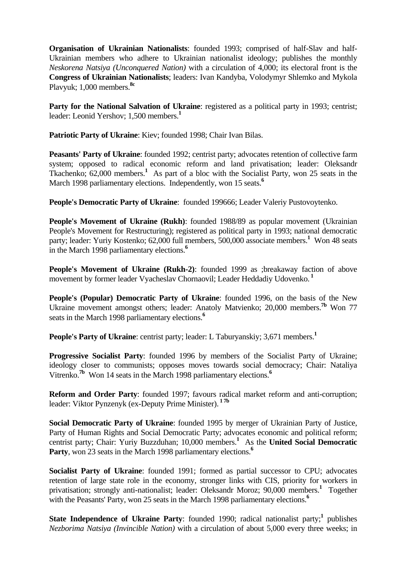**Organisation of Ukrainian Nationalists**: founded 1993; comprised of half-Slav and half-Ukrainian members who adhere to Ukrainian nationalist ideology; publishes the monthly *Neskorena Natsiya (Unconquered Nation)* with a circulation of 4,000; its electoral front is the **Congress of Ukrainian Nationalists**; leaders: Ivan Kandyba, Volodymyr Shlemko and Mykola Plavyuk; 1,000 members.**8c**

Party for the National Salvation of Ukraine: registered as a political party in 1993; centrist; leader: Leonid Yershov; 1,500 members.**<sup>1</sup>**

**Patriotic Party of Ukraine**: Kiev; founded 1998; Chair Ivan Bilas.

**Peasants' Party of Ukraine:** founded 1992; centrist party; advocates retention of collective farm system; opposed to radical economic reform and land privatisation; leader: Oleksandr Tkachenko; 62,000 members.**<sup>1</sup>** As part of a bloc with the Socialist Party, won 25 seats in the March 1998 parliamentary elections. Independently, won 15 seats.<sup>6</sup>

**People's Democratic Party of Ukraine**: founded 199666; Leader Valeriy Pustovoytenko.

**People's Movement of Ukraine (Rukh)**: founded 1988/89 as popular movement (Ukrainian People's Movement for Restructuring); registered as political party in 1993; national democratic party; leader: Yuriy Kostenko; 62,000 full members, 500,000 associate members.**<sup>1</sup>** Won 48 seats in the March 1998 parliamentary elections.**<sup>6</sup>**

**People's Movement of Ukraine (Rukh-2)**: founded 1999 as ;breakaway faction of above movement by former leader Vyacheslav Chornaovil; Leader Heddadiy Udovenko.**<sup>1</sup>**

**People's (Popular) Democratic Party of Ukraine**: founded 1996, on the basis of the New Ukraine movement amongst others; leader: Anatoly Matvienko; 20,000 members.**7b** Won 77 seats in the March 1998 parliamentary elections.**<sup>6</sup>**

**People's Party of Ukraine**: centrist party; leader: L Taburyanskiy; 3,671 members.<sup>1</sup>

**Progressive Socialist Party**: founded 1996 by members of the Socialist Party of Ukraine; ideology closer to communists; opposes moves towards social democracy; Chair: Nataliya Vitrenko.**7b** Won 14 seats in the March 1998 parliamentary elections.**<sup>6</sup>**

**Reform and Order Party**: founded 1997; favours radical market reform and anti-corruption; leader: Viktor Pynzenyk (ex-Deputy Prime Minister). **1 7b**

**Social Democratic Party of Ukraine**: founded 1995 by merger of Ukrainian Party of Justice, Party of Human Rights and Social Democratic Party; advocates economic and political reform; centrist party; Chair: Yuriy Buzzduhan; 10,000 members.**<sup>1</sup>** As the **United Social Democratic Party**, won 23 seats in the March 1998 parliamentary elections.**<sup>6</sup>**

**Socialist Party of Ukraine**: founded 1991; formed as partial successor to CPU; advocates retention of large state role in the economy, stronger links with CIS, priority for workers in privatisation; strongly anti-nationalist; leader: Oleksandr Moroz; 90,000 members.**<sup>1</sup>** Together with the Peasants' Party, won 25 seats in the March 1998 parliamentary elections.<sup>6</sup>

State Independence of Ukraine Party: founded 1990; radical nationalist party;<sup>1</sup> publishes *Nezborima Natsiya (Invincible Nation)* with a circulation of about 5,000 every three weeks; in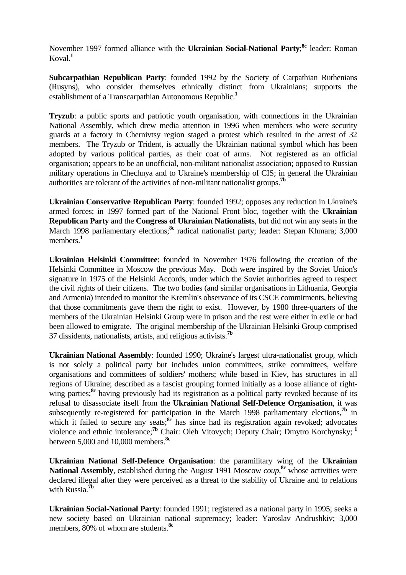November 1997 formed alliance with the **Ukrainian Social-National Party**; **8c** leader: Roman  $Koval<sup>1</sup>$ 

**Subcarpathian Republican Party**: founded 1992 by the Society of Carpathian Ruthenians (Rusyns), who consider themselves ethnically distinct from Ukrainians; supports the establishment of a Transcarpathian Autonomous Republic.**<sup>1</sup>**

**Tryzub**: a public sports and patriotic youth organisation, with connections in the Ukrainian National Assembly, which drew media attention in 1996 when members who were security guards at a factory in Chernivtsy region staged a protest which resulted in the arrest of 32 members. The Tryzub or Trident, is actually the Ukrainian national symbol which has been adopted by various political parties, as their coat of arms. Not registered as an official organisation; appears to be an unofficial, non-militant nationalist association; opposed to Russian military operations in Chechnya and to Ukraine's membership of CIS; in general the Ukrainian authorities are tolerant of the activities of non-militant nationalist groups.**7b**

**Ukrainian Conservative Republican Party**: founded 1992; opposes any reduction in Ukraine's armed forces; in 1997 formed part of the National Front bloc, together with the **Ukrainian Republican Party** and the **Congress of Ukrainian Nationalists**, but did not win any seats in the March 1998 parliamentary elections;<sup>8c</sup> radical nationalist party; leader: Stepan Khmara; 3,000 members.**<sup>1</sup>**

**Ukrainian Helsinki Committee**: founded in November 1976 following the creation of the Helsinki Committee in Moscow the previous May. Both were inspired by the Soviet Union's signature in 1975 of the Helsinki Accords, under which the Soviet authorities agreed to respect the civil rights of their citizens. The two bodies (and similar organisations in Lithuania, Georgia and Armenia) intended to monitor the Kremlin's observance of its CSCE commitments, believing that those commitments gave them the right to exist. However, by 1980 three-quarters of the members of the Ukrainian Helsinki Group were in prison and the rest were either in exile or had been allowed to emigrate. The original membership of the Ukrainian Helsinki Group comprised 37 dissidents, nationalists, artists, and religious activists.**7b**

**Ukrainian National Assembly**: founded 1990; Ukraine's largest ultra-nationalist group, which is not solely a political party but includes union committees, strike committees, welfare organisations and committees of soldiers' mothers; while based in Kiev, has structures in all regions of Ukraine; described as a fascist grouping formed initially as a loose alliance of rightwing parties;<sup>8c</sup> having previously had its registration as a political party revoked because of its refusal to disassociate itself from the **Ukrainian National Self-Defence Organisation**, it was subsequently re-registered for participation in the March 1998 parliamentary elections.<sup>7b</sup> in which it failed to secure any seats;<sup>8c</sup> has since had its registration again revoked; advocates violence and ethnic intolerance;**7b** Chair: Oleh Vitovych; Deputy Chair; Dmytro Korchynsky;**<sup>1</sup>** between 5,000 and 10,000 members.**8c**

**Ukrainian National Self-Defence Organisation**: the paramilitary wing of the **Ukrainian**  National Assembly, established during the August 1991 Moscow *coup*,<sup>8c</sup> whose activities were declared illegal after they were perceived as a threat to the stability of Ukraine and to relations with Russia.**7b**

**Ukrainian Social-National Party**: founded 1991; registered as a national party in 1995; seeks a new society based on Ukrainian national supremacy; leader: Yaroslav Andrushkiv; 3,000 members, 80% of whom are students.**8c**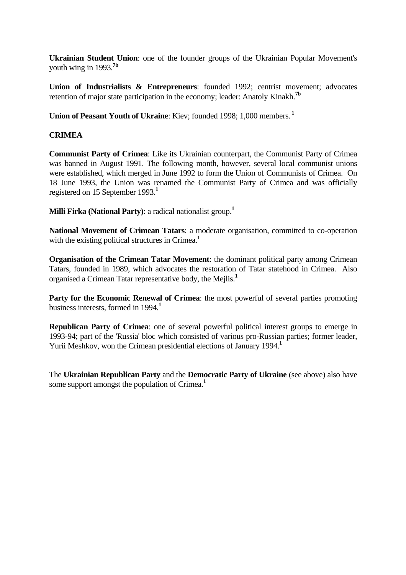**Ukrainian Student Union**: one of the founder groups of the Ukrainian Popular Movement's youth wing in 1993.**7b**

**Union of Industrialists & Entrepreneurs**: founded 1992; centrist movement; advocates retention of major state participation in the economy; leader: Anatoly Kinakh.**7b**

**Union of Peasant Youth of Ukraine**: Kiev; founded 1998; 1,000 members.**<sup>1</sup>**

## **CRIMEA**

**Communist Party of Crimea**: Like its Ukrainian counterpart, the Communist Party of Crimea was banned in August 1991. The following month, however, several local communist unions were established, which merged in June 1992 to form the Union of Communists of Crimea. On 18 June 1993, the Union was renamed the Communist Party of Crimea and was officially registered on 15 September 1993.**<sup>1</sup>**

**Milli Firka (National Party)**: a radical nationalist group.**<sup>1</sup>**

**National Movement of Crimean Tatars**: a moderate organisation, committed to co-operation with the existing political structures in Crimea.<sup>1</sup>

**Organisation of the Crimean Tatar Movement**: the dominant political party among Crimean Tatars, founded in 1989, which advocates the restoration of Tatar statehood in Crimea. Also organised a Crimean Tatar representative body, the Mejlis.**<sup>1</sup>**

**Party for the Economic Renewal of Crimea**: the most powerful of several parties promoting business interests, formed in 1994.**<sup>1</sup>**

**Republican Party of Crimea**: one of several powerful political interest groups to emerge in 1993-94; part of the 'Russia' bloc which consisted of various pro-Russian parties; former leader, Yurii Meshkov, won the Crimean presidential elections of January 1994.**<sup>1</sup>**

The **Ukrainian Republican Party** and the **Democratic Party of Ukraine** (see above) also have some support amongst the population of Crimea.**<sup>1</sup>**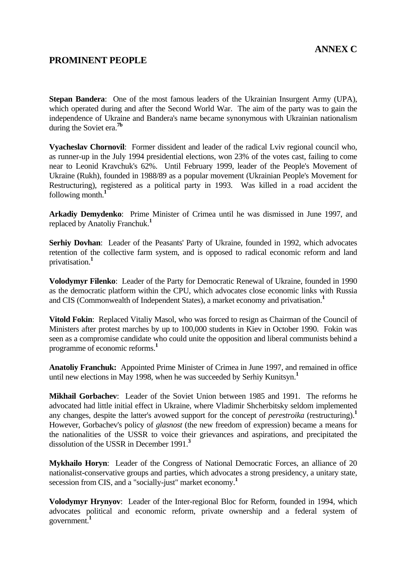# <span id="page-38-0"></span>**PROMINENT PEOPLE**

**Stepan Bandera:** One of the most famous leaders of the Ukrainian Insurgent Army (UPA), which operated during and after the Second World War. The aim of the party was to gain the independence of Ukraine and Bandera's name became synonymous with Ukrainian nationalism during the Soviet era.**7b**

**Vyacheslav Chornovil**: Former dissident and leader of the radical Lviv regional council who, as runner-up in the July 1994 presidential elections, won 23% of the votes cast, failing to come near to Leonid Kravchuk's 62%. Until February 1999, leader of the People's Movement of Ukraine (Rukh), founded in 1988/89 as a popular movement (Ukrainian People's Movement for Restructuring), registered as a political party in 1993. Was killed in a road accident the following month.**<sup>1</sup>**

**Arkadiy Demydenko**: Prime Minister of Crimea until he was dismissed in June 1997, and replaced by Anatoliy Franchuk.**<sup>1</sup>**

**Serhiy Dovhan**: Leader of the Peasants' Party of Ukraine, founded in 1992, which advocates retention of the collective farm system, and is opposed to radical economic reform and land privatisation.**<sup>1</sup>**

**Volodymyr Filenko**: Leader of the Party for Democratic Renewal of Ukraine, founded in 1990 as the democratic platform within the CPU, which advocates close economic links with Russia and CIS (Commonwealth of Independent States), a market economy and privatisation.**<sup>1</sup>**

**Vitold Fokin**: Replaced Vitaliy Masol, who was forced to resign as Chairman of the Council of Ministers after protest marches by up to 100,000 students in Kiev in October 1990. Fokin was seen as a compromise candidate who could unite the opposition and liberal communists behind a programme of economic reforms.**<sup>1</sup>**

**Anatoliy Franchuk:** Appointed Prime Minister of Crimea in June 1997, and remained in office until new elections in May 1998, when he was succeeded by Serhiy Kunitsyn.**<sup>1</sup>**

**Mikhail Gorbachev**: Leader of the Soviet Union between 1985 and 1991. The reforms he advocated had little initial effect in Ukraine, where Vladimir Shcherbitsky seldom implemented any changes, despite the latter's avowed support for the concept of *perestroika* (restructuring).**<sup>1</sup>** However, Gorbachev's policy of *glasnost* (the new freedom of expression) became a means for the nationalities of the USSR to voice their grievances and aspirations, and precipitated the dissolution of the USSR in December 1991.**<sup>3</sup>**

**Mykhailo Horyn**: Leader of the Congress of National Democratic Forces, an alliance of 20 nationalist-conservative groups and parties, which advocates a strong presidency, a unitary state, secession from CIS, and a "socially-just" market economy.**<sup>1</sup>**

**Volodymyr Hrynyov**: Leader of the Inter-regional Bloc for Reform, founded in 1994, which advocates political and economic reform, private ownership and a federal system of government.**<sup>1</sup>**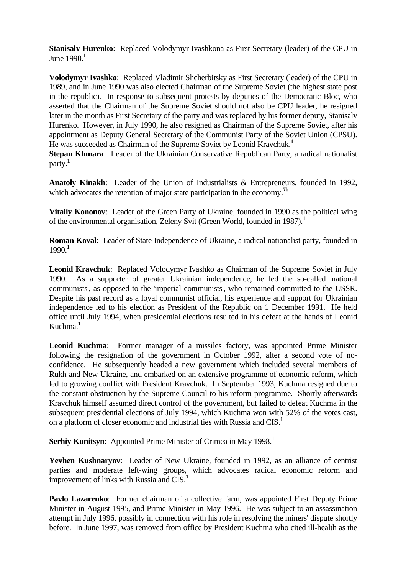**Stanisalv Hurenko**: Replaced Volodymyr Ivashkona as First Secretary (leader) of the CPU in June 1990.**<sup>1</sup>**

**Volodymyr Ivashko**: Replaced Vladimir Shcherbitsky as First Secretary (leader) of the CPU in 1989, and in June 1990 was also elected Chairman of the Supreme Soviet (the highest state post in the republic). In response to subsequent protests by deputies of the Democratic Bloc, who asserted that the Chairman of the Supreme Soviet should not also be CPU leader, he resigned later in the month as First Secretary of the party and was replaced by his former deputy, Stanisalv Hurenko. However, in July 1990, he also resigned as Chairman of the Supreme Soviet, after his appointment as Deputy General Secretary of the Communist Party of the Soviet Union (CPSU). He was succeeded as Chairman of the Supreme Soviet by Leonid Kravchuk.**<sup>1</sup>**

**Stepan Khmara**: Leader of the Ukrainian Conservative Republican Party, a radical nationalist party.**<sup>1</sup>**

**Anatoly Kinakh**: Leader of the Union of Industrialists & Entrepreneurs, founded in 1992, which advocates the retention of major state participation in the economy.<sup>7b</sup>

**Vitaliy Kononov**: Leader of the Green Party of Ukraine, founded in 1990 as the political wing of the environmental organisation, Zeleny Svit (Green World, founded in 1987).**<sup>1</sup>**

**Roman Koval**: Leader of State Independence of Ukraine, a radical nationalist party, founded in 1990.**<sup>1</sup>**

**Leonid Kravchuk**: Replaced Volodymyr Ivashko as Chairman of the Supreme Soviet in July 1990. As a supporter of greater Ukrainian independence, he led the so-called 'national communists', as opposed to the 'imperial communists', who remained committed to the USSR. Despite his past record as a loyal communist official, his experience and support for Ukrainian independence led to his election as President of the Republic on 1 December 1991. He held office until July 1994, when presidential elections resulted in his defeat at the hands of Leonid Kuchma.**<sup>1</sup>**

**Leonid Kuchma**: Former manager of a missiles factory, was appointed Prime Minister following the resignation of the government in October 1992, after a second vote of noconfidence. He subsequently headed a new government which included several members of Rukh and New Ukraine, and embarked on an extensive programme of economic reform, which led to growing conflict with President Kravchuk. In September 1993, Kuchma resigned due to the constant obstruction by the Supreme Council to his reform programme. Shortly afterwards Kravchuk himself assumed direct control of the government, but failed to defeat Kuchma in the subsequent presidential elections of July 1994, which Kuchma won with 52% of the votes cast, on a platform of closer economic and industrial ties with Russia and CIS.**<sup>1</sup>**

**Serhiy Kunitsyn**: Appointed Prime Minister of Crimea in May 1998.**<sup>1</sup>**

**Yevhen Kushnaryov**: Leader of New Ukraine, founded in 1992, as an alliance of centrist parties and moderate left-wing groups, which advocates radical economic reform and improvement of links with Russia and CIS.**<sup>1</sup>**

Pavlo Lazarenko: Former chairman of a collective farm, was appointed First Deputy Prime Minister in August 1995, and Prime Minister in May 1996. He was subject to an assassination attempt in July 1996, possibly in connection with his role in resolving the miners' dispute shortly before. In June 1997, was removed from office by President Kuchma who cited ill-health as the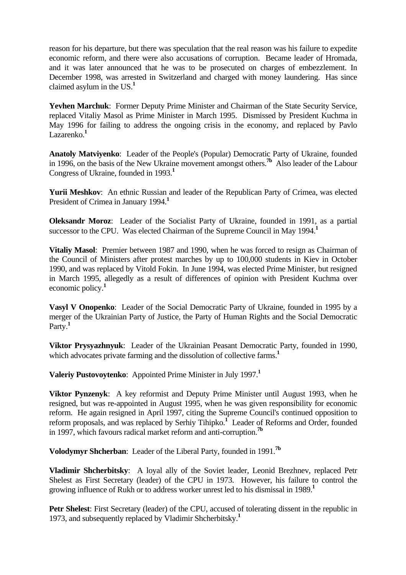reason for his departure, but there was speculation that the real reason was his failure to expedite economic reform, and there were also accusations of corruption. Became leader of Hromada, and it was later announced that he was to be prosecuted on charges of embezzlement. In December 1998, was arrested in Switzerland and charged with money laundering. Has since claimed asylum in the US.**<sup>1</sup>**

**Yevhen Marchuk**: Former Deputy Prime Minister and Chairman of the State Security Service, replaced Vitaliy Masol as Prime Minister in March 1995. Dismissed by President Kuchma in May 1996 for failing to address the ongoing crisis in the economy, and replaced by Pavlo Lazarenko.**<sup>1</sup>**

**Anatoly Matviyenko**: Leader of the People's (Popular) Democratic Party of Ukraine, founded in 1996, on the basis of the New Ukraine movement amongst others.**7b** Also leader of the Labour Congress of Ukraine, founded in 1993.**<sup>1</sup>**

**Yurii Meshkov**: An ethnic Russian and leader of the Republican Party of Crimea, was elected President of Crimea in January 1994.**<sup>1</sup>**

**Oleksandr Moroz**: Leader of the Socialist Party of Ukraine, founded in 1991, as a partial successor to the CPU. Was elected Chairman of the Supreme Council in May 1994.**<sup>1</sup>**

**Vitaliy Masol**: Premier between 1987 and 1990, when he was forced to resign as Chairman of the Council of Ministers after protest marches by up to 100,000 students in Kiev in October 1990, and was replaced by Vitold Fokin. In June 1994, was elected Prime Minister, but resigned in March 1995, allegedly as a result of differences of opinion with President Kuchma over economic policy.**<sup>1</sup>**

**Vasyl V Onopenko**: Leader of the Social Democratic Party of Ukraine, founded in 1995 by a merger of the Ukrainian Party of Justice, the Party of Human Rights and the Social Democratic Party.**<sup>1</sup>**

**Viktor Prysyazhnyuk**: Leader of the Ukrainian Peasant Democratic Party, founded in 1990, which advocates private farming and the dissolution of collective farms.<sup>1</sup>

**Valeriy Pustovoytenko**: Appointed Prime Minister in July 1997.**<sup>1</sup>**

**Viktor Pynzenyk**: A key reformist and Deputy Prime Minister until August 1993, when he resigned, but was re-appointed in August 1995, when he was given responsibility for economic reform. He again resigned in April 1997, citing the Supreme Council's continued opposition to reform proposals, and was replaced by Serhiy Tihipko.**<sup>1</sup>** Leader of Reforms and Order, founded in 1997, which favours radical market reform and anti-corruption.**7b**

**Volodymyr Shcherban**: Leader of the Liberal Party, founded in 1991.**7b**

**Vladimir Shcherbitsky**: A loyal ally of the Soviet leader, Leonid Brezhnev, replaced Petr Shelest as First Secretary (leader) of the CPU in 1973. However, his failure to control the growing influence of Rukh or to address worker unrest led to his dismissal in 1989.**<sup>1</sup>**

**Petr Shelest**: First Secretary (leader) of the CPU, accused of tolerating dissent in the republic in 1973, and subsequently replaced by Vladimir Shcherbitsky.**<sup>1</sup>**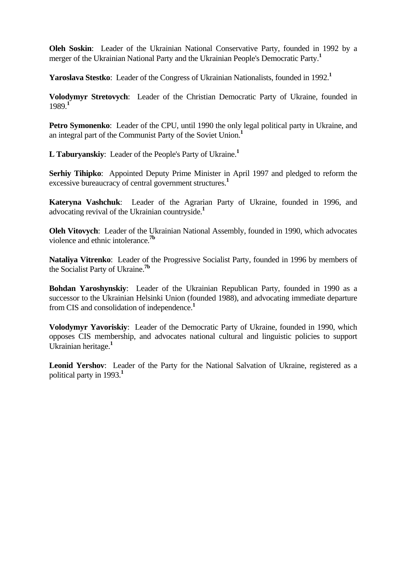**Oleh Soskin**: Leader of the Ukrainian National Conservative Party, founded in 1992 by a merger of the Ukrainian National Party and the Ukrainian People's Democratic Party.**<sup>1</sup>**

**Yaroslava Stestko**: Leader of the Congress of Ukrainian Nationalists, founded in 1992.**<sup>1</sup>**

**Volodymyr Stretovych**: Leader of the Christian Democratic Party of Ukraine, founded in 1989.**<sup>1</sup>**

**Petro Symonenko**: Leader of the CPU, until 1990 the only legal political party in Ukraine, and an integral part of the Communist Party of the Soviet Union.**<sup>1</sup>**

**L Taburyanskiy**: Leader of the People's Party of Ukraine.**<sup>1</sup>**

**Serhiy Tihipko**: Appointed Deputy Prime Minister in April 1997 and pledged to reform the excessive bureaucracy of central government structures.**<sup>1</sup>**

**Kateryna Vashchuk**: Leader of the Agrarian Party of Ukraine, founded in 1996, and advocating revival of the Ukrainian countryside.**<sup>1</sup>**

**Oleh Vitovych**: Leader of the Ukrainian National Assembly, founded in 1990, which advocates violence and ethnic intolerance.**7b**

**Nataliya Vitrenko**: Leader of the Progressive Socialist Party, founded in 1996 by members of the Socialist Party of Ukraine.**7b**

**Bohdan Yaroshynskiy**: Leader of the Ukrainian Republican Party, founded in 1990 as a successor to the Ukrainian Helsinki Union (founded 1988), and advocating immediate departure from CIS and consolidation of independence.**<sup>1</sup>**

**Volodymyr Yavoriskiy**: Leader of the Democratic Party of Ukraine, founded in 1990, which opposes CIS membership, and advocates national cultural and linguistic policies to support Ukrainian heritage.**<sup>1</sup>**

**Leonid Yershov**: Leader of the Party for the National Salvation of Ukraine, registered as a political party in 1993.**<sup>1</sup>**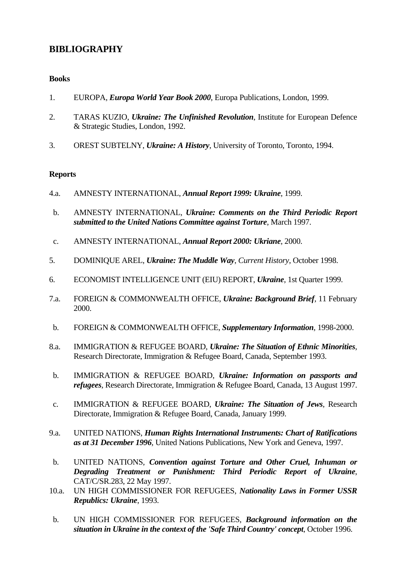# <span id="page-42-0"></span>**BIBLIOGRAPHY**

## **Books**

- 1. EUROPA, *Europa World Year Book 2000*, Europa Publications, London, 1999.
- 2. TARAS KUZIO, *Ukraine: The Unfinished Revolution*, Institute for European Defence & Strategic Studies, London, 1992.
- 3. OREST SUBTELNY, *Ukraine: A History*, University of Toronto, Toronto, 1994.

### **Reports**

- 4.a. AMNESTY INTERNATIONAL, *Annual Report 1999: Ukraine*, 1999.
- b. AMNESTY INTERNATIONAL, *Ukraine: Comments on the Third Periodic Report submitted to the United Nations Committee against Torture*, March 1997.
- c. AMNESTY INTERNATIONAL, *Annual Report 2000: Ukriane*, 2000.
- 5. DOMINIQUE AREL, *Ukraine: The Muddle Way*, *Current History*, October 1998.
- 6. ECONOMIST INTELLIGENCE UNIT (EIU) REPORT, *Ukraine*, 1st Quarter 1999.
- 7.a. FOREIGN & COMMONWEALTH OFFICE, *Ukraine: Background Brief*, 11 February 2000.
- b. FOREIGN & COMMONWEALTH OFFICE, *Supplementary Information*, 1998-2000.
- 8.a. IMMIGRATION & REFUGEE BOARD, *Ukraine: The Situation of Ethnic Minorities*, Research Directorate, Immigration & Refugee Board, Canada, September 1993.
- b. IMMIGRATION & REFUGEE BOARD, *Ukraine: Information on passports and refugees*, Research Directorate, Immigration & Refugee Board, Canada, 13 August 1997.
- c. IMMIGRATION & REFUGEE BOARD, *Ukraine: The Situation of Jews*, Research Directorate, Immigration & Refugee Board, Canada, January 1999.
- 9.a. UNITED NATIONS, *Human Rights International Instruments: Chart of Ratifications as at 31 December 1996*, United Nations Publications, New York and Geneva, 1997.
- b. UNITED NATIONS, *Convention against Torture and Other Cruel, Inhuman or Degrading Treatment or Punishment: Third Periodic Report of Ukraine*, CAT/C/SR.283, 22 May 1997.
- 10.a. UN HIGH COMMISSIONER FOR REFUGEES, *Nationality Laws in Former USSR Republics: Ukraine*, 1993.
- b. UN HIGH COMMISSIONER FOR REFUGEES, *Background information on the situation in Ukraine in the context of the 'Safe Third Country' concept*, October 1996.